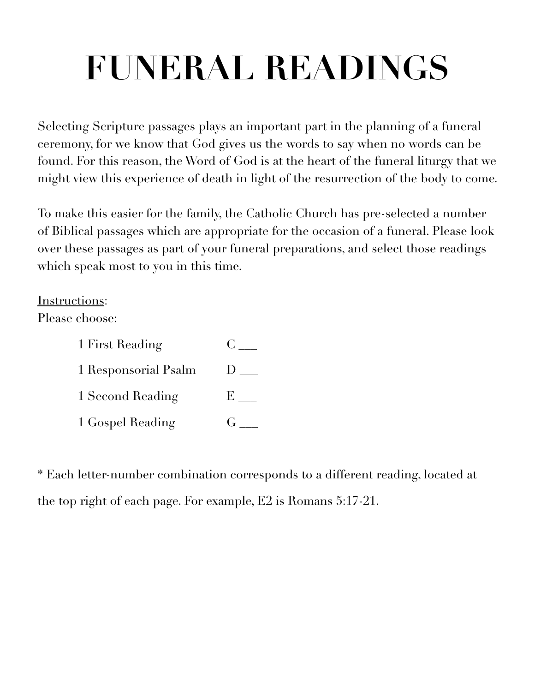# **FUNERAL READINGS**

Selecting Scripture passages plays an important part in the planning of a funeral ceremony, for we know that God gives us the words to say when no words can be found. For this reason, the Word of God is at the heart of the funeral liturgy that we might view this experience of death in light of the resurrection of the body to come.

To make this easier for the family, the Catholic Church has pre-selected a number of Biblical passages which are appropriate for the occasion of a funeral. Please look over these passages as part of your funeral preparations, and select those readings which speak most to you in this time.

## Instructions:

Please choose:

| 1 First Reading      |                |
|----------------------|----------------|
| 1 Responsorial Psalm | $\blacksquare$ |
| 1 Second Reading     | E.             |
| 1 Gospel Reading     |                |

\* Each letter-number combination corresponds to a different reading, located at the top right of each page. For example, E2 is Romans 5:17-21.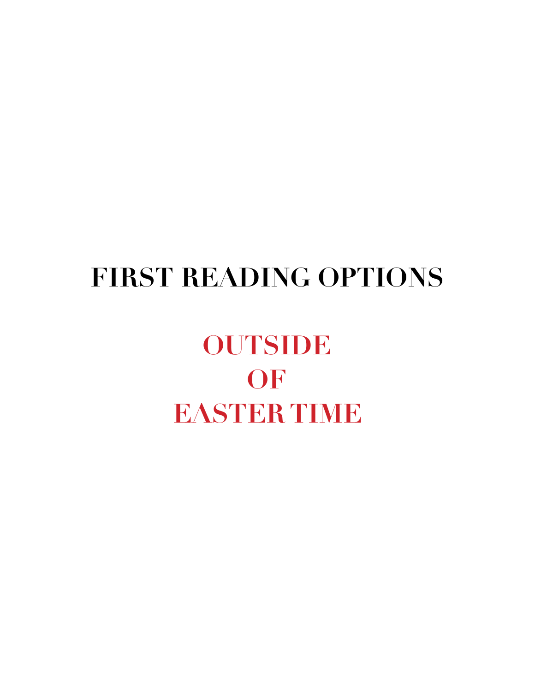## **FIRST READING OPTIONS**

## **OUTSIDE OF EASTER TIME**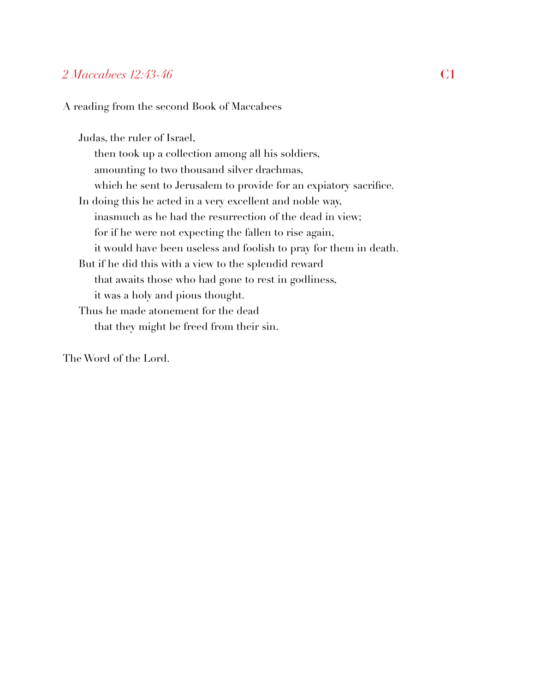## *2 Maccabees 12:43-46* **C1**

A reading from the second Book of Maccabees

Judas, the ruler of Israel, then took up a collection among all his soldiers, amounting to two thousand silver drachmas, which he sent to Jerusalem to provide for an expiatory sacrifice. In doing this he acted in a very excellent and noble way, inasmuch as he had the resurrection of the dead in view; for if he were not expecting the fallen to rise again, it would have been useless and foolish to pray for them in death. But if he did this with a view to the splendid reward that awaits those who had gone to rest in godliness, it was a holy and pious thought. Thus he made atonement for the dead that they might be freed from their sin.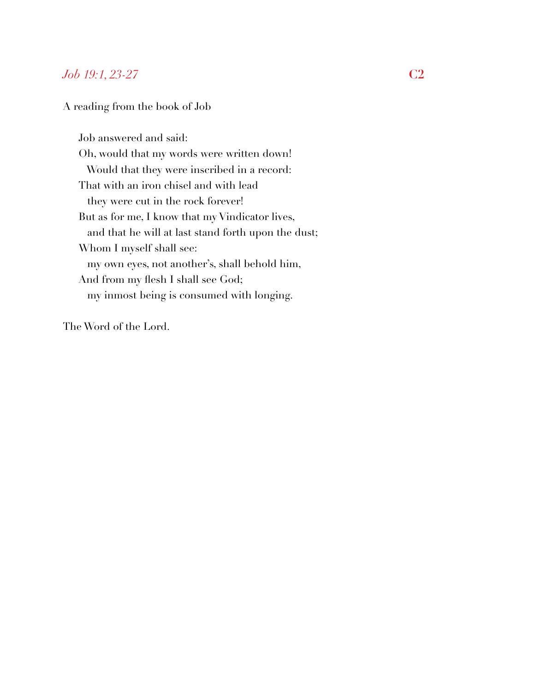## *Job 19:1, 23-27* **C2**

#### A reading from the book of Job

Job answered and said: Oh, would that my words were written down! Would that they were inscribed in a record: That with an iron chisel and with lead they were cut in the rock forever! But as for me, I know that my Vindicator lives, and that he will at last stand forth upon the dust; Whom I myself shall see: my own eyes, not another's, shall behold him, And from my flesh I shall see God; my inmost being is consumed with longing.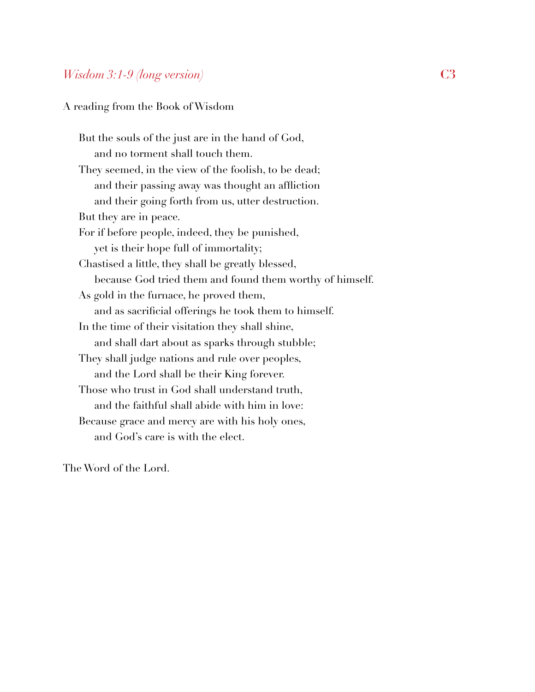## *Wisdom 3:1-9 (long version)* **C3**

A reading from the Book of Wisdom

But the souls of the just are in the hand of God, and no torment shall touch them. They seemed, in the view of the foolish, to be dead; and their passing away was thought an affliction and their going forth from us, utter destruction. But they are in peace. For if before people, indeed, they be punished, yet is their hope full of immortality; Chastised a little, they shall be greatly blessed, because God tried them and found them worthy of himself. As gold in the furnace, he proved them, and as sacrificial offerings he took them to himself. In the time of their visitation they shall shine, and shall dart about as sparks through stubble; They shall judge nations and rule over peoples, and the Lord shall be their King forever. Those who trust in God shall understand truth, and the faithful shall abide with him in love: Because grace and mercy are with his holy ones, and God's care is with the elect.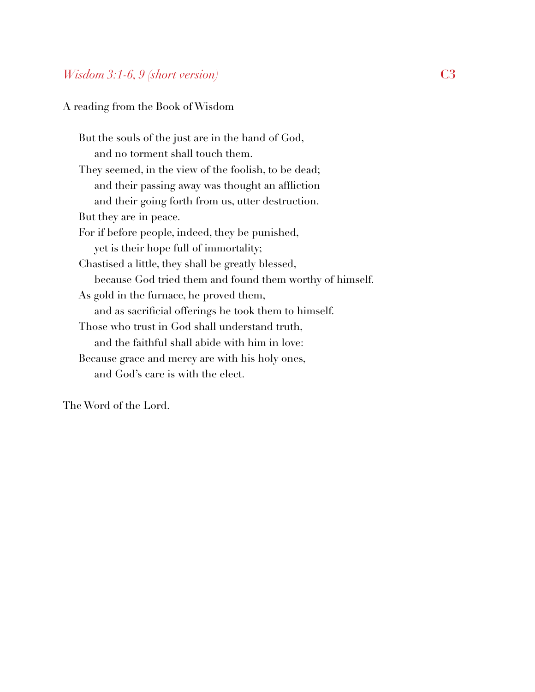## *Wisdom 3:1-6, 9 (short version)* **C3**

A reading from the Book of Wisdom

But the souls of the just are in the hand of God, and no torment shall touch them. They seemed, in the view of the foolish, to be dead; and their passing away was thought an affliction and their going forth from us, utter destruction. But they are in peace. For if before people, indeed, they be punished, yet is their hope full of immortality; Chastised a little, they shall be greatly blessed, because God tried them and found them worthy of himself. As gold in the furnace, he proved them, and as sacrificial offerings he took them to himself. Those who trust in God shall understand truth, and the faithful shall abide with him in love: Because grace and mercy are with his holy ones, and God's care is with the elect.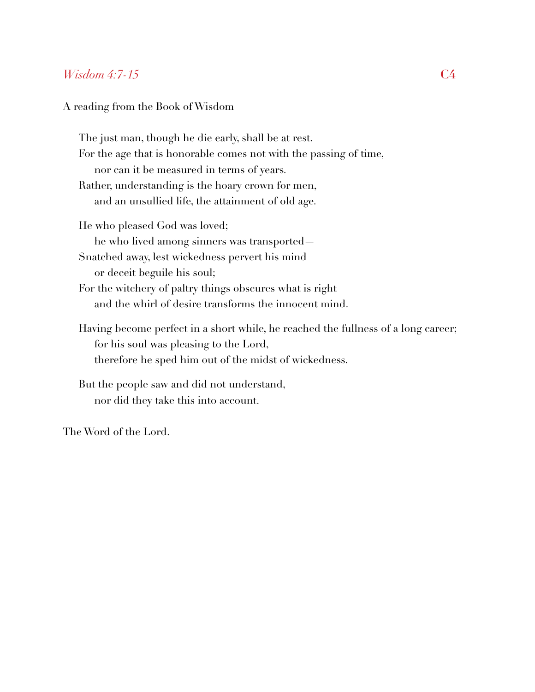### *Wisdom 4:7-15* **C4**

#### A reading from the Book of Wisdom

The just man, though he die early, shall be at rest. For the age that is honorable comes not with the passing of time, nor can it be measured in terms of years. Rather, understanding is the hoary crown for men, and an unsullied life, the attainment of old age. He who pleased God was loved; he who lived among sinners was transported— Snatched away, lest wickedness pervert his mind or deceit beguile his soul; For the witchery of paltry things obscures what is right and the whirl of desire transforms the innocent mind. Having become perfect in a short while, he reached the fullness of a long career; for his soul was pleasing to the Lord, therefore he sped him out of the midst of wickedness. But the people saw and did not understand,

The Word of the Lord.

nor did they take this into account.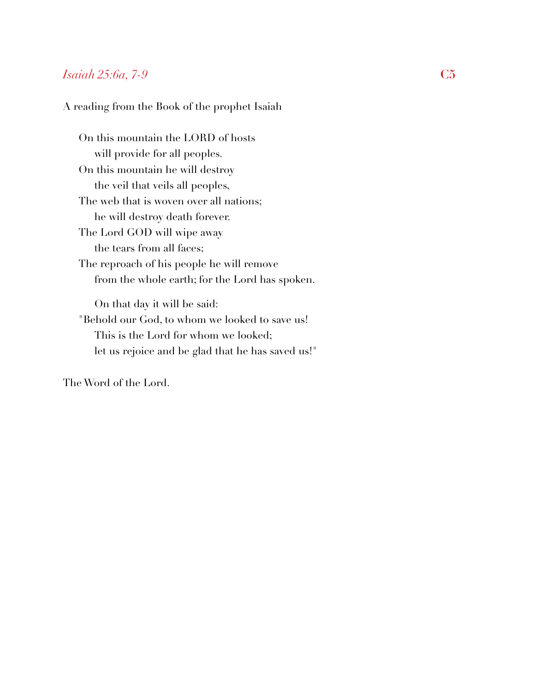## *Isaiah 25:6a, 7-9* **C5**

#### A reading from the Book of the prophet Isaiah

On this mountain the LORD of hosts will provide for all peoples. On this mountain he will destroy the veil that veils all peoples, The web that is woven over all nations; he will destroy death forever. The Lord GOD will wipe away the tears from all faces; The reproach of his people he will remove from the whole earth; for the Lord has spoken. On that day it will be said: "Behold our God, to whom we looked to save us! This is the Lord for whom we looked; let us rejoice and be glad that he has saved us!"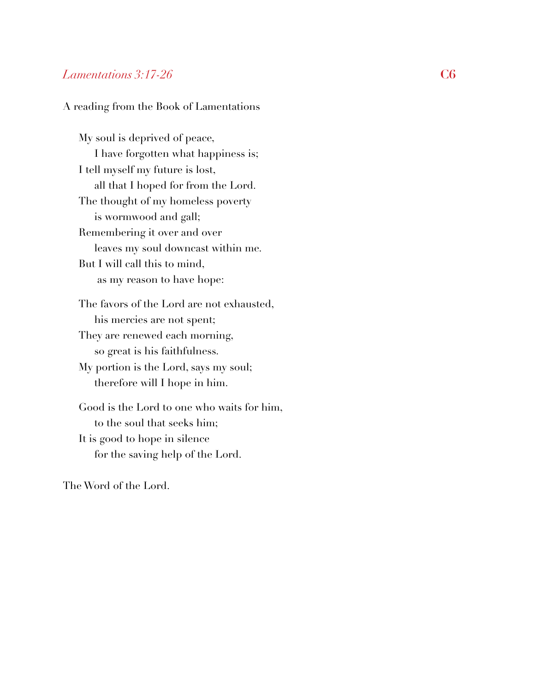#### *Lamentations 3:17-26* **C6**

#### A reading from the Book of Lamentations

My soul is deprived of peace, I have forgotten what happiness is; I tell myself my future is lost, all that I hoped for from the Lord. The thought of my homeless poverty is wormwood and gall; Remembering it over and over leaves my soul downcast within me. But I will call this to mind, as my reason to have hope: The favors of the Lord are not exhausted, his mercies are not spent; They are renewed each morning, so great is his faithfulness. My portion is the Lord, says my soul; therefore will I hope in him. Good is the Lord to one who waits for him, to the soul that seeks him;

It is good to hope in silence for the saving help of the Lord.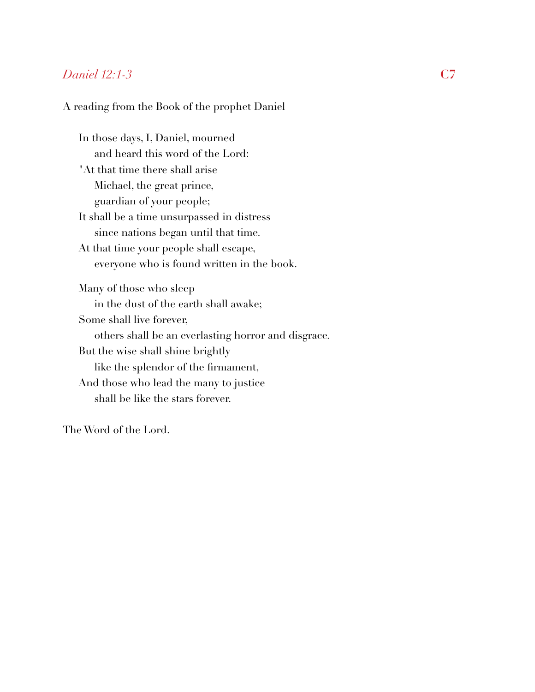## *Daniel 12:1-3* **C7**

#### A reading from the Book of the prophet Daniel

In those days, I, Daniel, mourned and heard this word of the Lord: "At that time there shall arise Michael, the great prince, guardian of your people; It shall be a time unsurpassed in distress since nations began until that time. At that time your people shall escape, everyone who is found written in the book. Many of those who sleep in the dust of the earth shall awake; Some shall live forever, others shall be an everlasting horror and disgrace. But the wise shall shine brightly like the splendor of the firmament, And those who lead the many to justice shall be like the stars forever.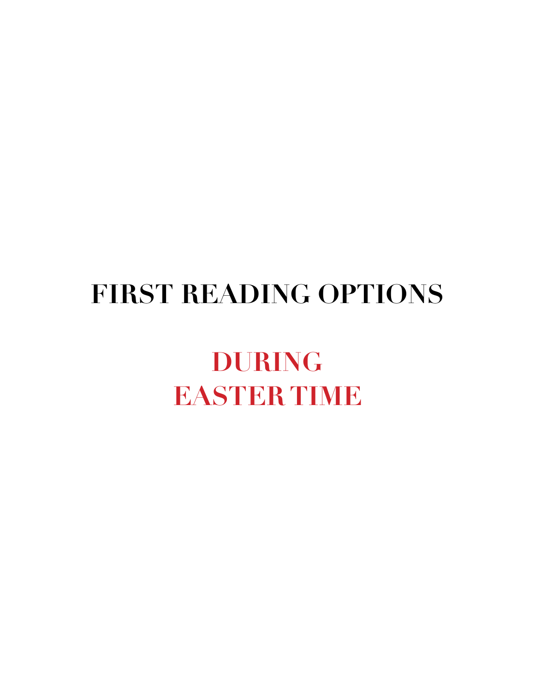## **FIRST READING OPTIONS**

## **DURING EASTER TIME**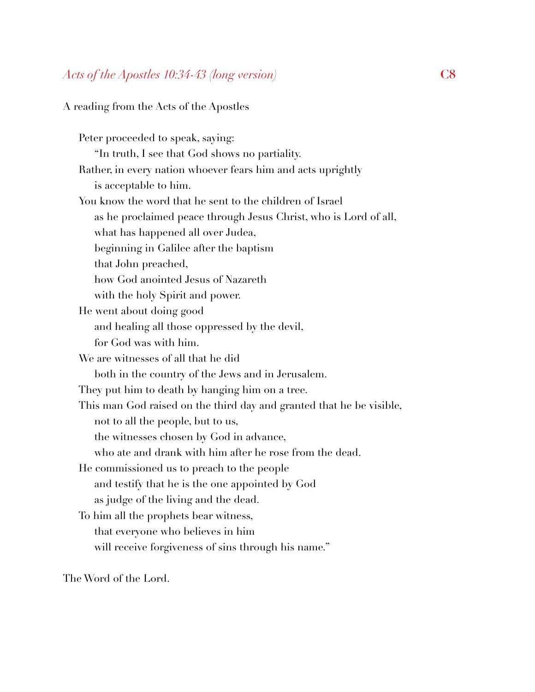#### A reading from the Acts of the Apostles

Peter proceeded to speak, saying: "In truth, I see that God shows no partiality. Rather, in every nation whoever fears him and acts uprightly is acceptable to him. You know the word that he sent to the children of Israel as he proclaimed peace through Jesus Christ, who is Lord of all, what has happened all over Judea, beginning in Galilee after the baptism that John preached, how God anointed Jesus of Nazareth with the holy Spirit and power. He went about doing good and healing all those oppressed by the devil, for God was with him. We are witnesses of all that he did both in the country of the Jews and in Jerusalem. They put him to death by hanging him on a tree. This man God raised on the third day and granted that he be visible, not to all the people, but to us, the witnesses chosen by God in advance, who ate and drank with him after he rose from the dead. He commissioned us to preach to the people and testify that he is the one appointed by God as judge of the living and the dead. To him all the prophets bear witness, that everyone who believes in him will receive forgiveness of sins through his name."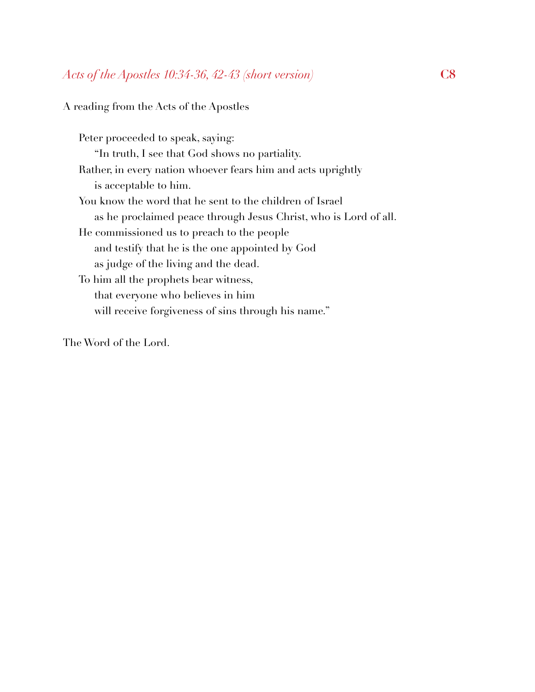#### A reading from the Acts of the Apostles

Peter proceeded to speak, saying: "In truth, I see that God shows no partiality. Rather, in every nation whoever fears him and acts uprightly is acceptable to him. You know the word that he sent to the children of Israel as he proclaimed peace through Jesus Christ, who is Lord of all. He commissioned us to preach to the people and testify that he is the one appointed by God as judge of the living and the dead. To him all the prophets bear witness, that everyone who believes in him will receive forgiveness of sins through his name."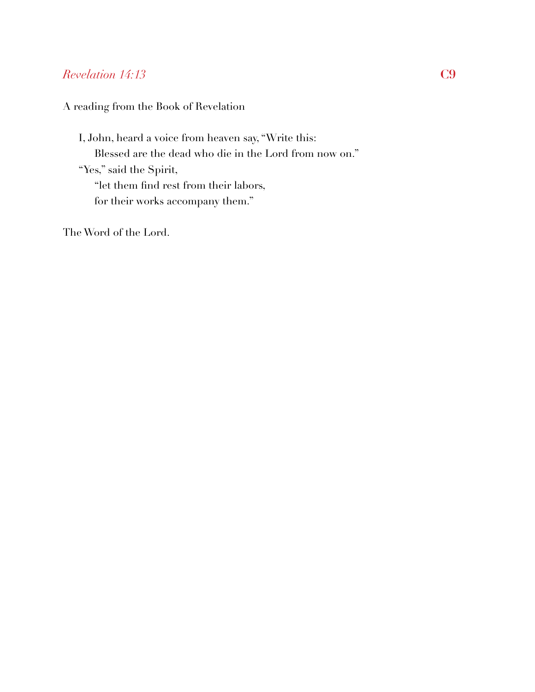## *Revelation 14:13* **C9**

A reading from the Book of Revelation

I, John, heard a voice from heaven say, "Write this: Blessed are the dead who die in the Lord from now on." "Yes," said the Spirit, "let them find rest from their labors, for their works accompany them."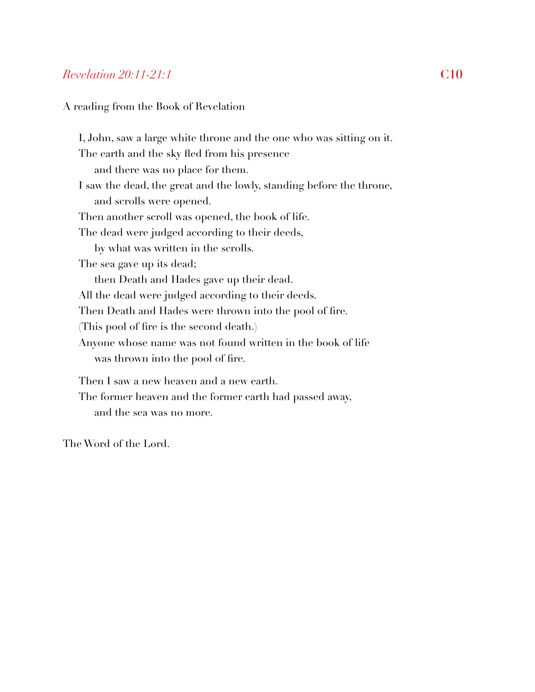## *Revelation 20:11-21:1* **C10**

A reading from the Book of Revelation

I, John, saw a large white throne and the one who was sitting on it. The earth and the sky fled from his presence and there was no place for them. I saw the dead, the great and the lowly, standing before the throne, and scrolls were opened. Then another scroll was opened, the book of life. The dead were judged according to their deeds, by what was written in the scrolls. The sea gave up its dead; then Death and Hades gave up their dead. All the dead were judged according to their deeds. Then Death and Hades were thrown into the pool of fire. (This pool of fire is the second death.) Anyone whose name was not found written in the book of life was thrown into the pool of fire. Then I saw a new heaven and a new earth. The former heaven and the former earth had passed away, and the sea was no more.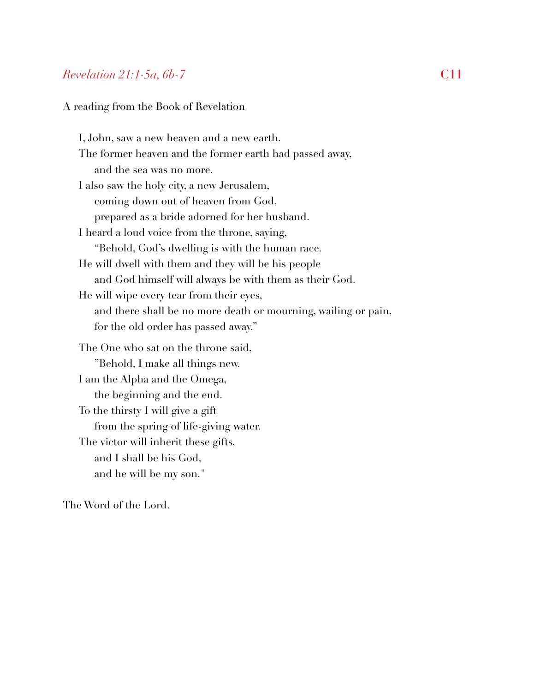## *Revelation 21:1-5a, 6b-7* **C11**

A reading from the Book of Revelation

I, John, saw a new heaven and a new earth. The former heaven and the former earth had passed away, and the sea was no more. I also saw the holy city, a new Jerusalem, coming down out of heaven from God, prepared as a bride adorned for her husband. I heard a loud voice from the throne, saying, "Behold, God's dwelling is with the human race. He will dwell with them and they will be his people and God himself will always be with them as their God. He will wipe every tear from their eyes, and there shall be no more death or mourning, wailing or pain, for the old order has passed away." The One who sat on the throne said, "Behold, I make all things new. I am the Alpha and the Omega, the beginning and the end. To the thirsty I will give a gift from the spring of life-giving water. The victor will inherit these gifts, and I shall be his God, and he will be my son."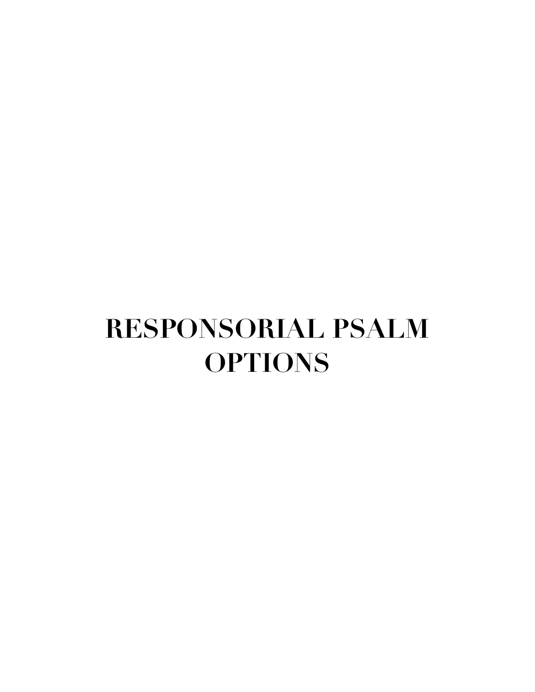## **RESPONSORIAL PSALM OPTIONS**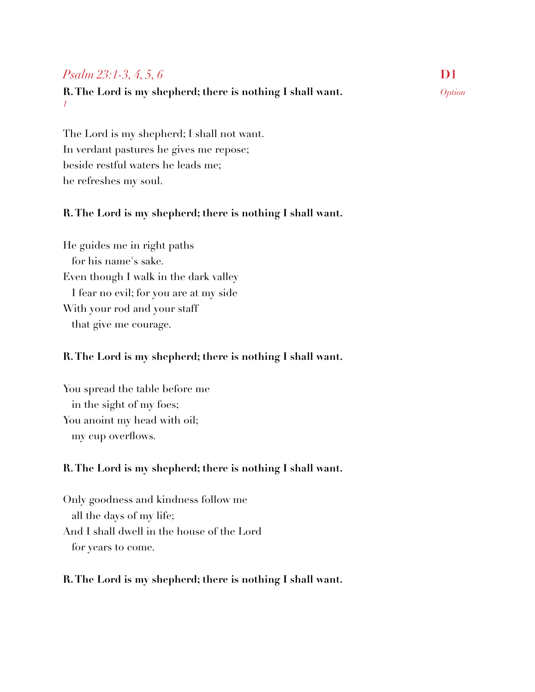## *Psalm 23:1-3, 4, 5, 6* **D1**

#### **R. The Lord is my shepherd; there is nothing I shall want.** *Option 1*

The Lord is my shepherd; I shall not want. In verdant pastures he gives me repose; beside restful waters he leads me; he refreshes my soul.

## **R. The Lord is my shepherd; there is nothing I shall want.**

He guides me in right paths for his name's sake. Even though I walk in the dark valley I fear no evil; for you are at my side With your rod and your staff that give me courage.

## **R. The Lord is my shepherd; there is nothing I shall want.**

You spread the table before me in the sight of my foes; You anoint my head with oil; my cup overflows.

## **R. The Lord is my shepherd; there is nothing I shall want.**

Only goodness and kindness follow me all the days of my life; And I shall dwell in the house of the Lord for years to come.

## **R. The Lord is my shepherd; there is nothing I shall want.**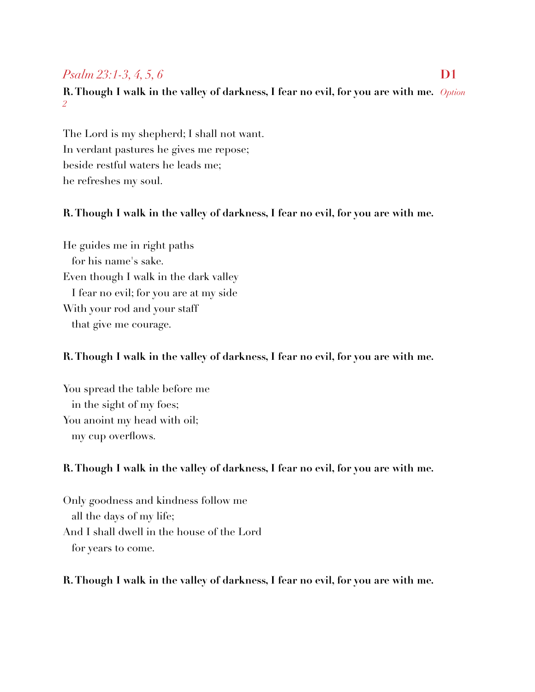## *Psalm 23:1-3, 4, 5, 6* **D1**

## **R. Though I walk in the valley of darkness, I fear no evil, for you are with me.** *Option 2*

The Lord is my shepherd; I shall not want. In verdant pastures he gives me repose; beside restful waters he leads me; he refreshes my soul.

## **R. Though I walk in the valley of darkness, I fear no evil, for you are with me.**

He guides me in right paths for his name's sake. Even though I walk in the dark valley I fear no evil; for you are at my side With your rod and your staff that give me courage.

## **R. Though I walk in the valley of darkness, I fear no evil, for you are with me.**

You spread the table before me in the sight of my foes; You anoint my head with oil; my cup overflows.

## **R. Though I walk in the valley of darkness, I fear no evil, for you are with me.**

Only goodness and kindness follow me all the days of my life; And I shall dwell in the house of the Lord for years to come.

## **R. Though I walk in the valley of darkness, I fear no evil, for you are with me.**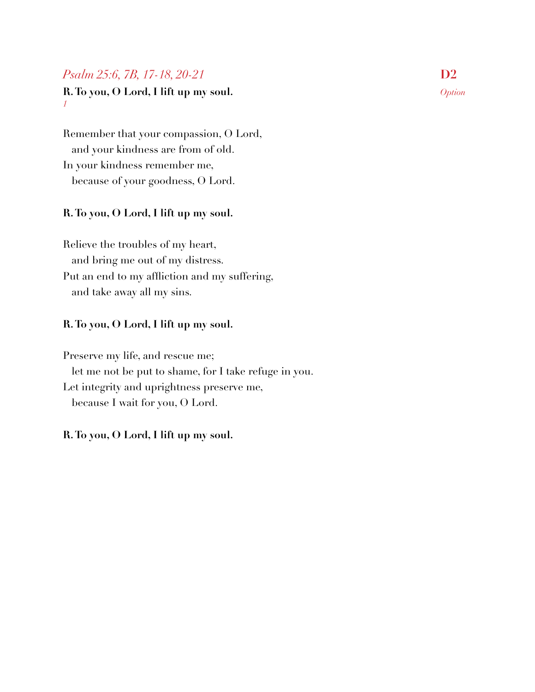## *Psalm 25:6, 7B, 17-18, 20-21* **D2**

**R. To you, O Lord, I lift up my soul.** *Option 1*

Remember that your compassion, O Lord, and your kindness are from of old. In your kindness remember me, because of your goodness, O Lord.

#### **R. To you, O Lord, I lift up my soul.**

Relieve the troubles of my heart, and bring me out of my distress. Put an end to my affliction and my suffering, and take away all my sins.

#### **R. To you, O Lord, I lift up my soul.**

Preserve my life, and rescue me; let me not be put to shame, for I take refuge in you. Let integrity and uprightness preserve me, because I wait for you, O Lord.

#### **R. To you, O Lord, I lift up my soul.**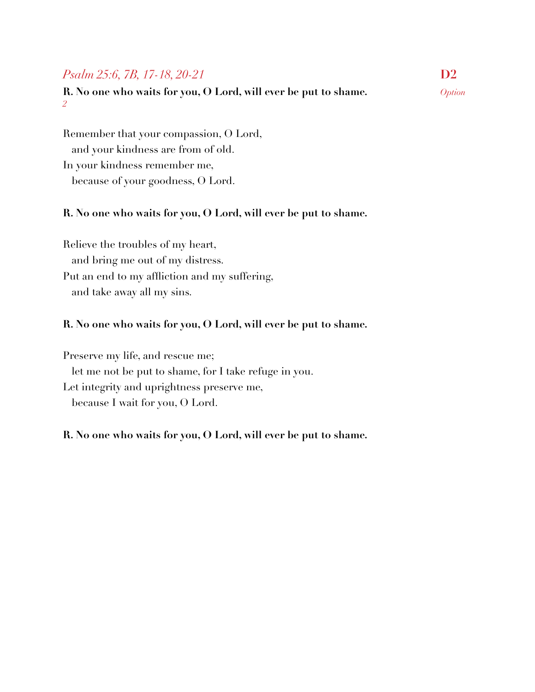## *Psalm 25:6, 7B, 17-18, 20-21* **D2**

**R. No one who waits for you, O Lord, will ever be put to shame.** *Option 2*

Remember that your compassion, O Lord, and your kindness are from of old. In your kindness remember me, because of your goodness, O Lord.

#### **R. No one who waits for you, O Lord, will ever be put to shame.**

Relieve the troubles of my heart, and bring me out of my distress. Put an end to my affliction and my suffering, and take away all my sins.

#### **R. No one who waits for you, O Lord, will ever be put to shame.**

Preserve my life, and rescue me; let me not be put to shame, for I take refuge in you. Let integrity and uprightness preserve me, because I wait for you, O Lord.

#### **R. No one who waits for you, O Lord, will ever be put to shame.**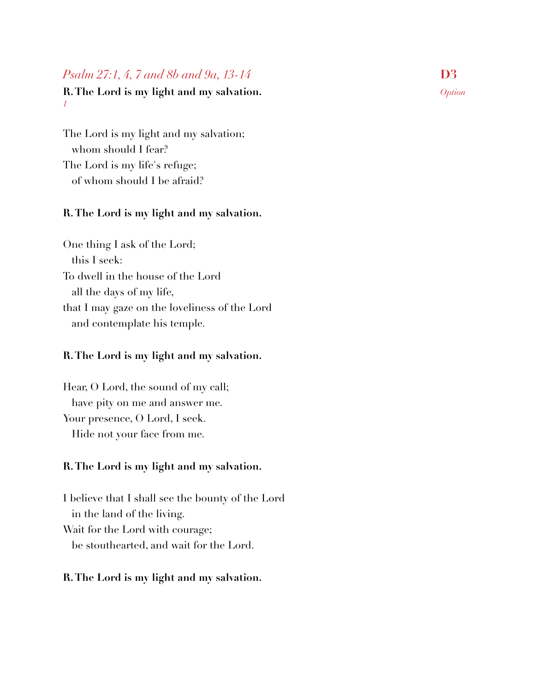## *Psalm 27:1, 4, 7 and 8b and 9a, 13-14* D3

#### **R. The Lord is my light and my salvation.** *Option 1*

The Lord is my light and my salvation; whom should I fear? The Lord is my life's refuge; of whom should I be afraid?

#### **R. The Lord is my light and my salvation.**

One thing I ask of the Lord; this I seek: To dwell in the house of the Lord all the days of my life, that I may gaze on the loveliness of the Lord and contemplate his temple.

#### **R. The Lord is my light and my salvation.**

Hear, O Lord, the sound of my call; have pity on me and answer me. Your presence, O Lord, I seek. Hide not your face from me.

#### **R. The Lord is my light and my salvation.**

I believe that I shall see the bounty of the Lord in the land of the living. Wait for the Lord with courage; be stouthearted, and wait for the Lord.

#### **R. The Lord is my light and my salvation.**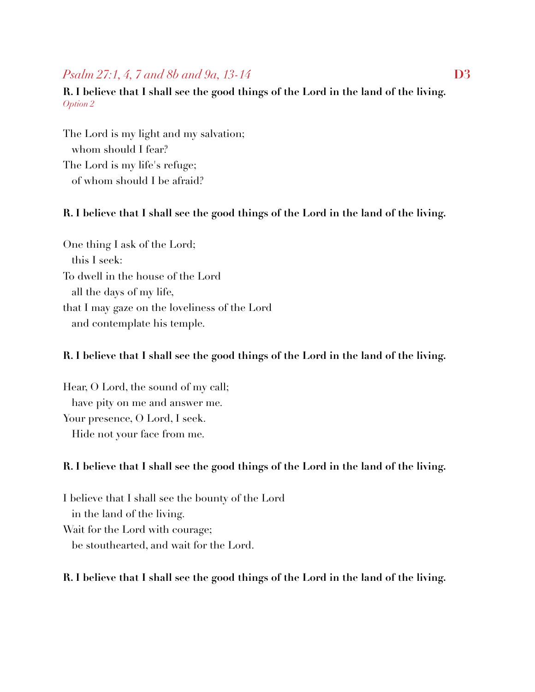## *Psalm 27:1, 4, 7 and 8b and 9a, 13-14* D3

## **R. I believe that I shall see the good things of the Lord in the land of the living.**  *Option 2*

The Lord is my light and my salvation; whom should I fear? The Lord is my life's refuge; of whom should I be afraid?

#### **R. I believe that I shall see the good things of the Lord in the land of the living.**

One thing I ask of the Lord; this I seek: To dwell in the house of the Lord all the days of my life, that I may gaze on the loveliness of the Lord and contemplate his temple.

#### **R. I believe that I shall see the good things of the Lord in the land of the living.**

Hear, O Lord, the sound of my call; have pity on me and answer me. Your presence, O Lord, I seek. Hide not your face from me.

#### **R. I believe that I shall see the good things of the Lord in the land of the living.**

I believe that I shall see the bounty of the Lord in the land of the living. Wait for the Lord with courage; be stouthearted, and wait for the Lord.

#### **R. I believe that I shall see the good things of the Lord in the land of the living.**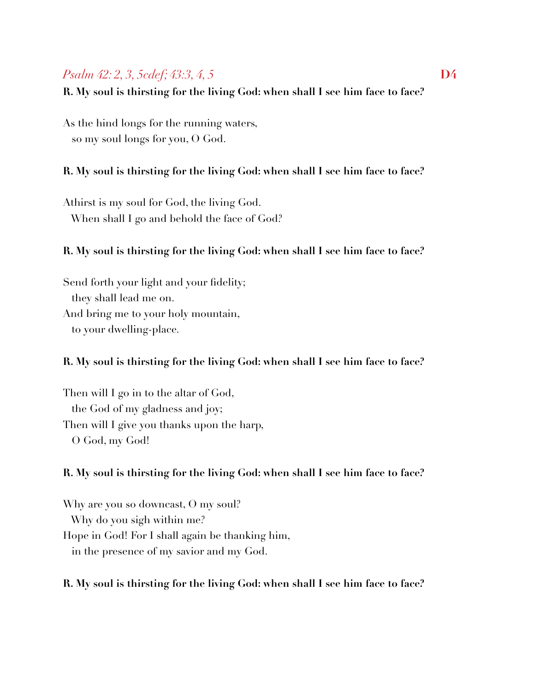## *Psalm 42: 2, 3, 5cdef; 43:3, 4, 5* **D4**

**R. My soul is thirsting for the living God: when shall I see him face to face?** 

As the hind longs for the running waters, so my soul longs for you, O God.

## **R. My soul is thirsting for the living God: when shall I see him face to face?**

Athirst is my soul for God, the living God. When shall I go and behold the face of God?

### **R. My soul is thirsting for the living God: when shall I see him face to face?**

Send forth your light and your fidelity; they shall lead me on. And bring me to your holy mountain, to your dwelling-place.

#### **R. My soul is thirsting for the living God: when shall I see him face to face?**

Then will I go in to the altar of God, the God of my gladness and joy; Then will I give you thanks upon the harp, O God, my God!

#### **R. My soul is thirsting for the living God: when shall I see him face to face?**

Why are you so downcast, O my soul? Why do you sigh within me? Hope in God! For I shall again be thanking him, in the presence of my savior and my God.

#### **R. My soul is thirsting for the living God: when shall I see him face to face?**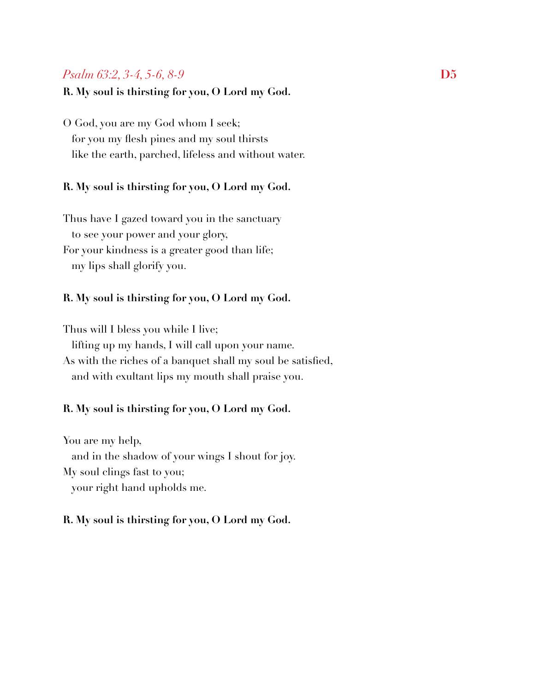## *Psalm 63:2, 3-4, 5-6, 8-9* D5

#### **R. My soul is thirsting for you, O Lord my God.**

O God, you are my God whom I seek; for you my flesh pines and my soul thirsts like the earth, parched, lifeless and without water.

#### **R. My soul is thirsting for you, O Lord my God.**

Thus have I gazed toward you in the sanctuary to see your power and your glory, For your kindness is a greater good than life; my lips shall glorify you.

#### **R. My soul is thirsting for you, O Lord my God.**

Thus will I bless you while I live; lifting up my hands, I will call upon your name. As with the riches of a banquet shall my soul be satisfied, and with exultant lips my mouth shall praise you.

#### **R. My soul is thirsting for you, O Lord my God.**

You are my help, and in the shadow of your wings I shout for joy. My soul clings fast to you; your right hand upholds me.

#### **R. My soul is thirsting for you, O Lord my God.**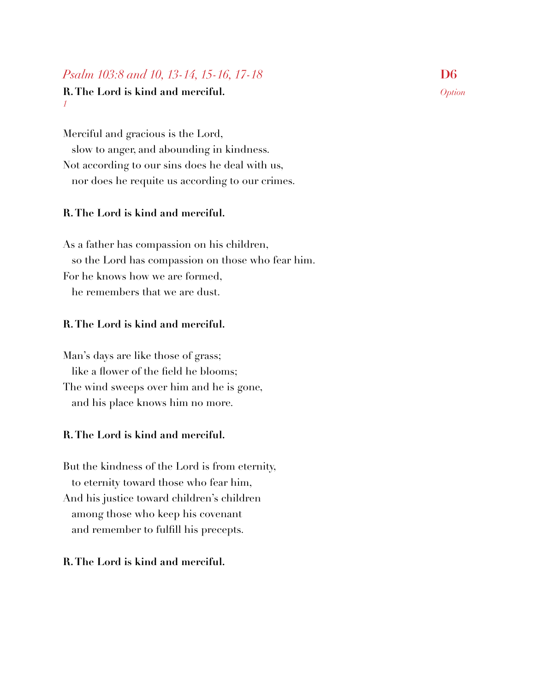## *Psalm 103:8 and 10, 13-14, 15-16, 17-18* **D6**

#### **R. The Lord is kind and merciful.** *Option 1*

Merciful and gracious is the Lord, slow to anger, and abounding in kindness. Not according to our sins does he deal with us, nor does he requite us according to our crimes.

## **R. The Lord is kind and merciful.**

As a father has compassion on his children, so the Lord has compassion on those who fear him. For he knows how we are formed, he remembers that we are dust.

## **R. The Lord is kind and merciful.**

Man's days are like those of grass; like a flower of the field he blooms; The wind sweeps over him and he is gone, and his place knows him no more.

## **R. The Lord is kind and merciful.**

But the kindness of the Lord is from eternity, to eternity toward those who fear him, And his justice toward children's children among those who keep his covenant and remember to fulfill his precepts.

## **R. The Lord is kind and merciful.**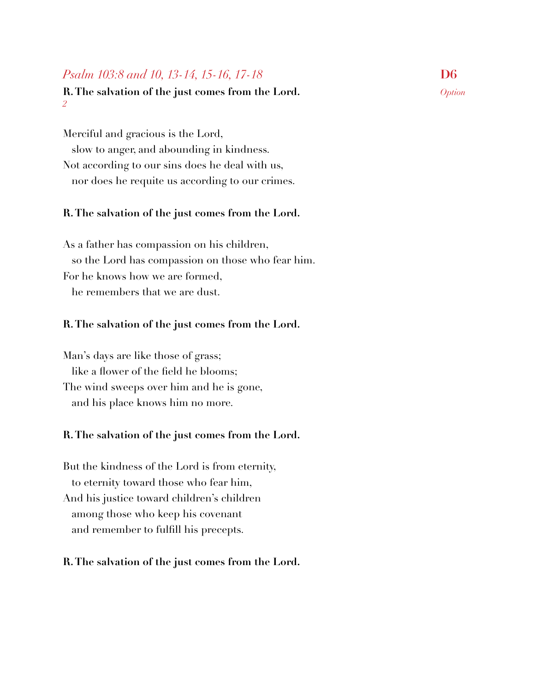## *Psalm 103:8 and 10, 13-14, 15-16, 17-18* **D6**

#### **R. The salvation of the just comes from the Lord.** *Option 2*

Merciful and gracious is the Lord, slow to anger, and abounding in kindness. Not according to our sins does he deal with us, nor does he requite us according to our crimes.

#### **R. The salvation of the just comes from the Lord.**

As a father has compassion on his children, so the Lord has compassion on those who fear him. For he knows how we are formed, he remembers that we are dust.

#### **R. The salvation of the just comes from the Lord.**

Man's days are like those of grass; like a flower of the field he blooms; The wind sweeps over him and he is gone, and his place knows him no more.

#### **R. The salvation of the just comes from the Lord.**

But the kindness of the Lord is from eternity, to eternity toward those who fear him, And his justice toward children's children among those who keep his covenant and remember to fulfill his precepts.

#### **R. The salvation of the just comes from the Lord.**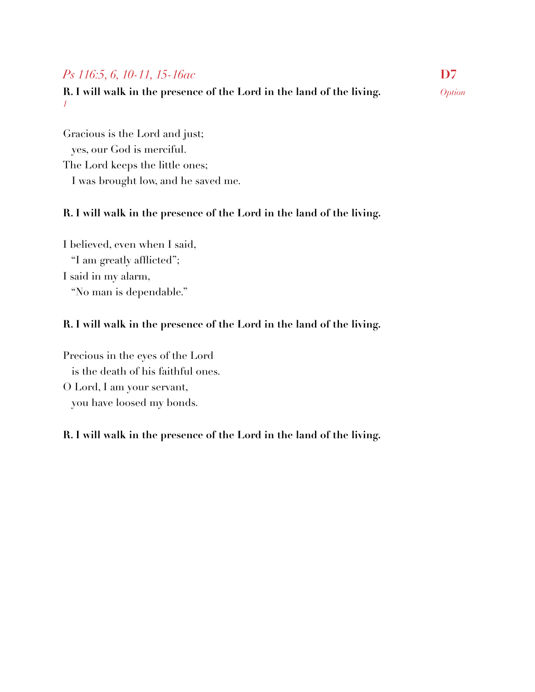## *Ps 116:5, 6, 10-11, 15-16ac* **D7**

**R. I will walk in the presence of the Lord in the land of the living.** *Option 1*

Gracious is the Lord and just; yes, our God is merciful. The Lord keeps the little ones; I was brought low, and he saved me.

## **R. I will walk in the presence of the Lord in the land of the living.**

I believed, even when I said, "I am greatly afflicted"; I said in my alarm, "No man is dependable."

## **R. I will walk in the presence of the Lord in the land of the living.**

Precious in the eyes of the Lord is the death of his faithful ones. O Lord, I am your servant, you have loosed my bonds.

## **R. I will walk in the presence of the Lord in the land of the living.**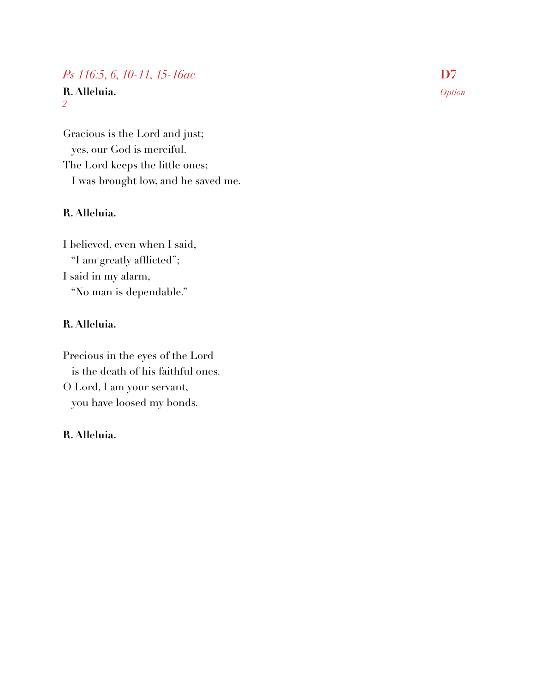## *Ps 116:5, 6, 10-11, 15-16ac* **D7**

**R. Alleluia.** *Option 2*

Gracious is the Lord and just; yes, our God is merciful. The Lord keeps the little ones; I was brought low, and he saved me.

## **R. Alleluia.**

I believed, even when I said, "I am greatly afflicted"; I said in my alarm, "No man is dependable."

## **R. Alleluia.**

Precious in the eyes of the Lord is the death of his faithful ones. O Lord, I am your servant, you have loosed my bonds.

## **R. Alleluia.**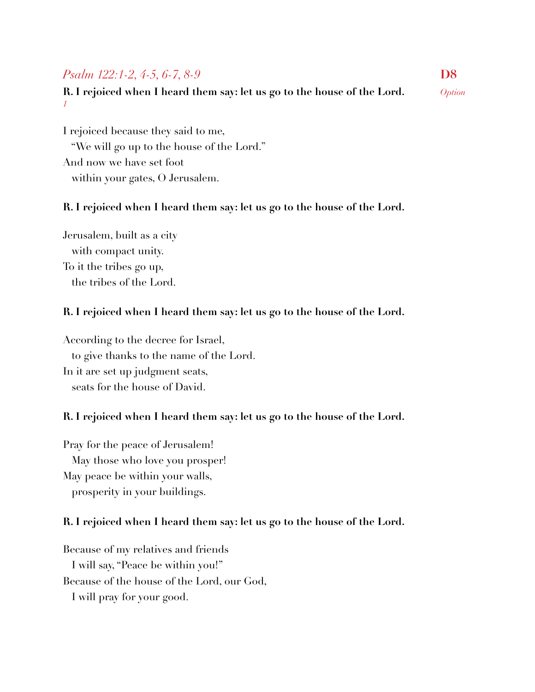## *Psalm 122:1-2, 4-5, 6-7, 8-9* D8

**R. I rejoiced when I heard them say: let us go to the house of the Lord.** *Option 1*

I rejoiced because they said to me, "We will go up to the house of the Lord." And now we have set foot within your gates, O Jerusalem.

#### **R. I rejoiced when I heard them say: let us go to the house of the Lord.**

Jerusalem, built as a city with compact unity. To it the tribes go up, the tribes of the Lord.

#### **R. I rejoiced when I heard them say: let us go to the house of the Lord.**

According to the decree for Israel, to give thanks to the name of the Lord. In it are set up judgment seats, seats for the house of David.

#### **R. I rejoiced when I heard them say: let us go to the house of the Lord.**

Pray for the peace of Jerusalem! May those who love you prosper! May peace be within your walls, prosperity in your buildings.

#### **R. I rejoiced when I heard them say: let us go to the house of the Lord.**

Because of my relatives and friends I will say, "Peace be within you!" Because of the house of the Lord, our God, I will pray for your good.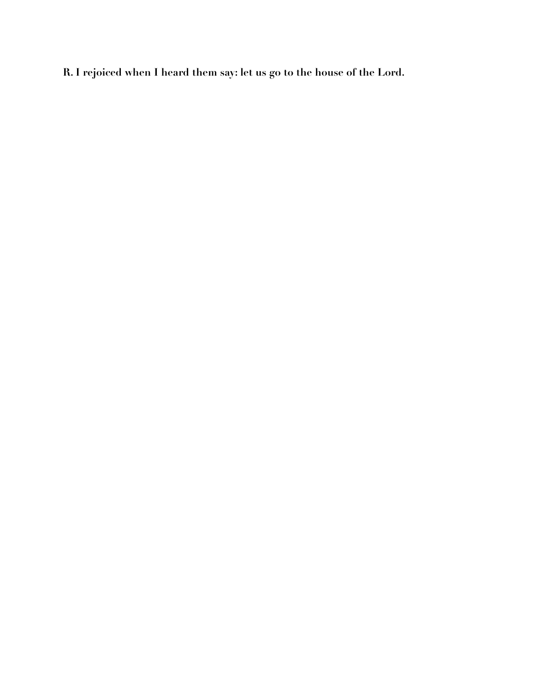**R. I rejoiced when I heard them say: let us go to the house of the Lord.**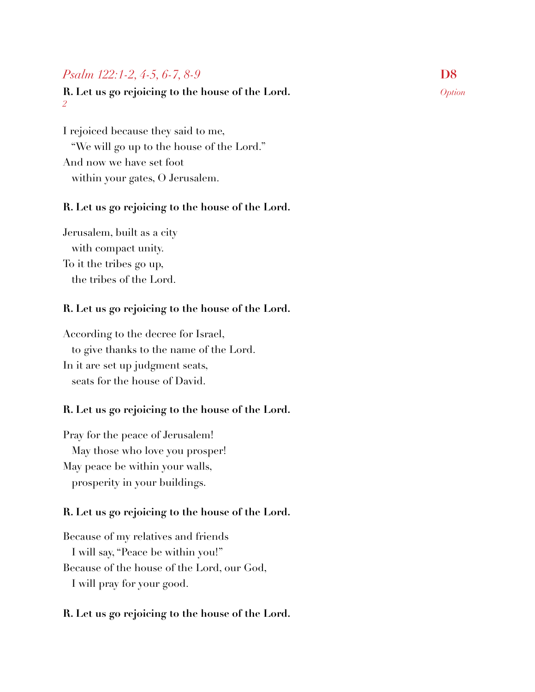## *Psalm 122:1-2, 4-5, 6-7, 8-9* D8

#### **R. Let us go rejoicing to the house of the Lord.** *Option 2*

I rejoiced because they said to me, "We will go up to the house of the Lord." And now we have set foot within your gates, O Jerusalem.

#### **R. Let us go rejoicing to the house of the Lord.**

Jerusalem, built as a city with compact unity. To it the tribes go up, the tribes of the Lord.

#### **R. Let us go rejoicing to the house of the Lord.**

According to the decree for Israel, to give thanks to the name of the Lord. In it are set up judgment seats, seats for the house of David.

#### **R. Let us go rejoicing to the house of the Lord.**

Pray for the peace of Jerusalem! May those who love you prosper! May peace be within your walls, prosperity in your buildings.

#### **R. Let us go rejoicing to the house of the Lord.**

Because of my relatives and friends I will say, "Peace be within you!" Because of the house of the Lord, our God, I will pray for your good.

#### **R. Let us go rejoicing to the house of the Lord.**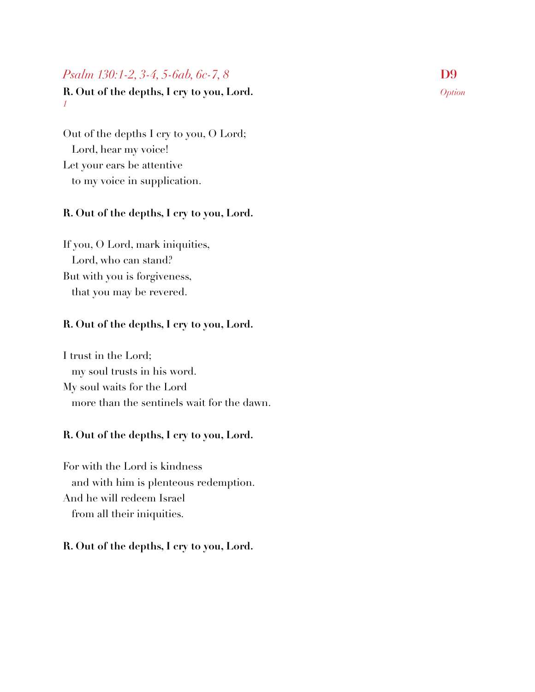## *Psalm 130:1-2, 3-4, 5-6ab, 6c-7, 8* **D9**

**R. Out of the depths, I cry to you, Lord.** *Option 1*

Out of the depths I cry to you, O Lord; Lord, hear my voice! Let your ears be attentive to my voice in supplication.

## **R. Out of the depths, I cry to you, Lord.**

If you, O Lord, mark iniquities, Lord, who can stand? But with you is forgiveness, that you may be revered.

## **R. Out of the depths, I cry to you, Lord.**

I trust in the Lord; my soul trusts in his word. My soul waits for the Lord more than the sentinels wait for the dawn.

## **R. Out of the depths, I cry to you, Lord.**

For with the Lord is kindness and with him is plenteous redemption. And he will redeem Israel from all their iniquities.

#### **R. Out of the depths, I cry to you, Lord.**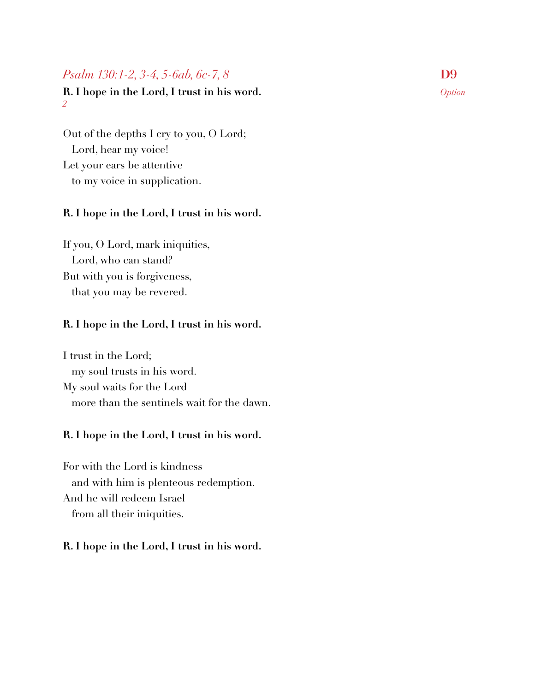## *Psalm 130:1-2, 3-4, 5-6ab, 6c-7, 8* **D9**

**R. I hope in the Lord, I trust in his word.** *Option 2*

Out of the depths I cry to you, O Lord; Lord, hear my voice! Let your ears be attentive to my voice in supplication.

#### **R. I hope in the Lord, I trust in his word.**

If you, O Lord, mark iniquities, Lord, who can stand? But with you is forgiveness, that you may be revered.

#### **R. I hope in the Lord, I trust in his word.**

I trust in the Lord; my soul trusts in his word. My soul waits for the Lord more than the sentinels wait for the dawn.

#### **R. I hope in the Lord, I trust in his word.**

For with the Lord is kindness and with him is plenteous redemption. And he will redeem Israel from all their iniquities.

#### **R. I hope in the Lord, I trust in his word.**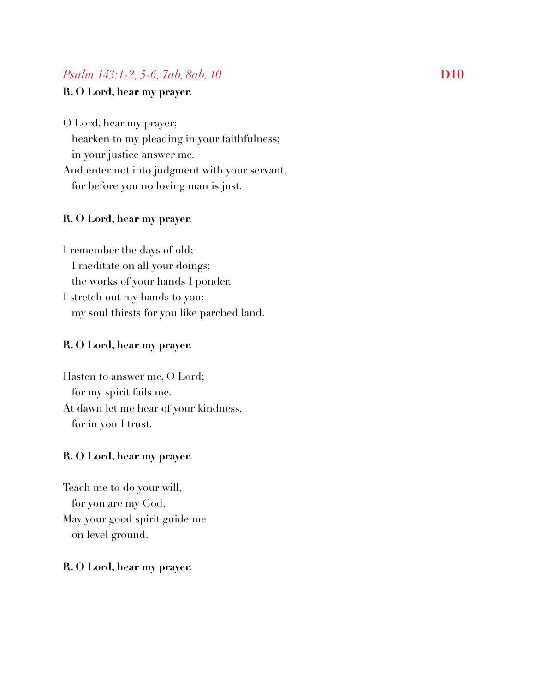## *Psalm 143:1-2, 5-6, 7ab, 8ab, 10***D10**

## **R. O Lord, hear my prayer.**

O Lord, hear my prayer;

 hearken to my pleading in your faithfulness; in your justice answer me.

And enter not into judgment with your servant, for before you no loving man is just.

#### **R. O Lord, hear my prayer.**

I remember the days of old; I meditate on all your doings; the works of your hands I ponder. I stretch out my hands to you; my soul thirsts for you like parched land.

#### **R. O Lord, hear my prayer.**

Hasten to answer me, O Lord; for my spirit fails me. At dawn let me hear of your kindness, for in you I trust.

#### **R. O Lord, hear my prayer.**

Teach me to do your will, for you are my God. May your good spirit guide me on level ground.

#### **R. O Lord, hear my prayer.**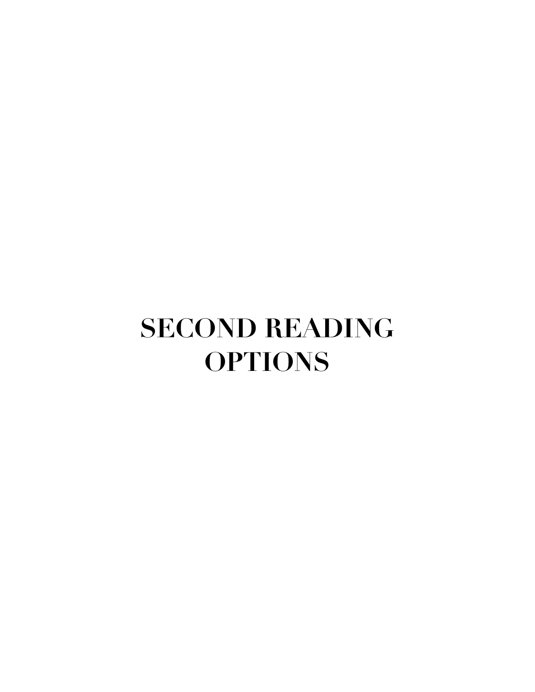## **SECOND READING OPTIONS**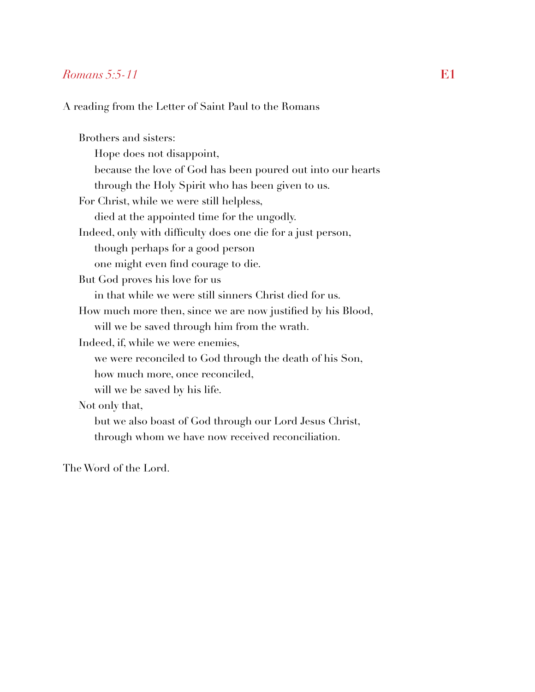#### *Romans 5:5-11* **E1**

A reading from the Letter of Saint Paul to the Romans

Brothers and sisters: Hope does not disappoint, because the love of God has been poured out into our hearts through the Holy Spirit who has been given to us. For Christ, while we were still helpless, died at the appointed time for the ungodly. Indeed, only with difficulty does one die for a just person, though perhaps for a good person one might even find courage to die. But God proves his love for us in that while we were still sinners Christ died for us. How much more then, since we are now justified by his Blood, will we be saved through him from the wrath. Indeed, if, while we were enemies, we were reconciled to God through the death of his Son, how much more, once reconciled, will we be saved by his life. Not only that, but we also boast of God through our Lord Jesus Christ, through whom we have now received reconciliation.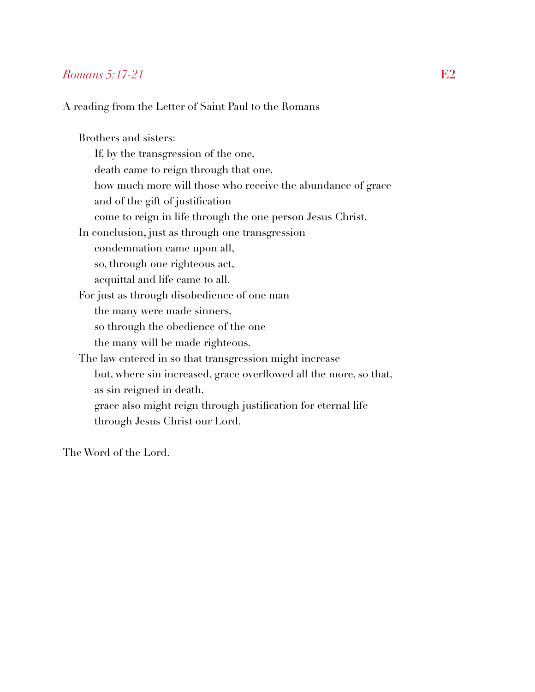#### *Romans 5:17-21* **E2**

A reading from the Letter of Saint Paul to the Romans

Brothers and sisters: If, by the transgression of the one, death came to reign through that one, how much more will those who receive the abundance of grace and of the gift of justification come to reign in life through the one person Jesus Christ. In conclusion, just as through one transgression condemnation came upon all, so, through one righteous act, acquittal and life came to all. For just as through disobedience of one man the many were made sinners, so through the obedience of the one the many will be made righteous. The law entered in so that transgression might increase but, where sin increased, grace overflowed all the more, so that, as sin reigned in death, grace also might reign through justification for eternal life through Jesus Christ our Lord.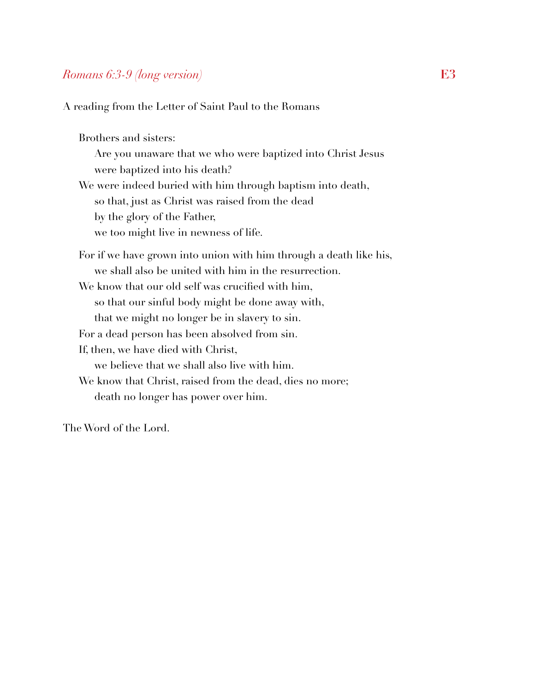## *Romans 6:3-9 (long version)* **E3**

A reading from the Letter of Saint Paul to the Romans

Brothers and sisters: Are you unaware that we who were baptized into Christ Jesus were baptized into his death? We were indeed buried with him through baptism into death, so that, just as Christ was raised from the dead by the glory of the Father, we too might live in newness of life. For if we have grown into union with him through a death like his, we shall also be united with him in the resurrection. We know that our old self was crucified with him, so that our sinful body might be done away with, that we might no longer be in slavery to sin. For a dead person has been absolved from sin. If, then, we have died with Christ, we believe that we shall also live with him. We know that Christ, raised from the dead, dies no more; death no longer has power over him.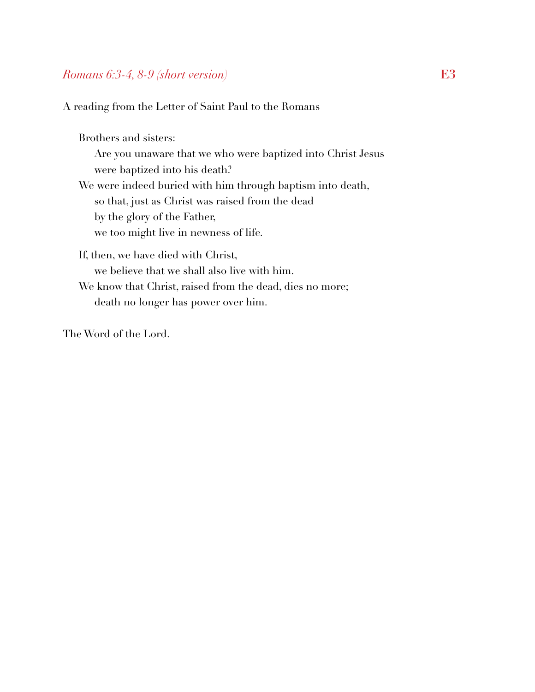#### *Romans 6:3-4, 8-9 (short version)* **E3**

A reading from the Letter of Saint Paul to the Romans

Brothers and sisters: Are you unaware that we who were baptized into Christ Jesus were baptized into his death? We were indeed buried with him through baptism into death, so that, just as Christ was raised from the dead by the glory of the Father, we too might live in newness of life. If, then, we have died with Christ, we believe that we shall also live with him. We know that Christ, raised from the dead, dies no more;

death no longer has power over him.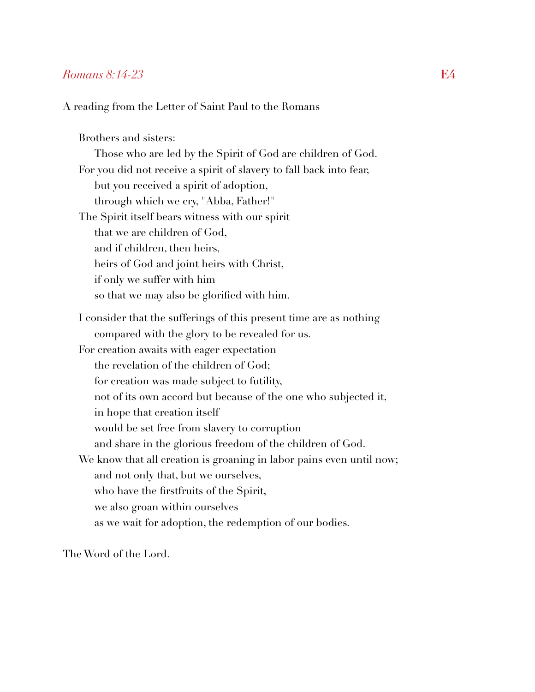#### *Romans 8:14-23* **E4**

A reading from the Letter of Saint Paul to the Romans

Brothers and sisters: Those who are led by the Spirit of God are children of God. For you did not receive a spirit of slavery to fall back into fear, but you received a spirit of adoption, through which we cry, "Abba, Father!" The Spirit itself bears witness with our spirit that we are children of God, and if children, then heirs, heirs of God and joint heirs with Christ, if only we suffer with him so that we may also be glorified with him. I consider that the sufferings of this present time are as nothing compared with the glory to be revealed for us. For creation awaits with eager expectation the revelation of the children of God; for creation was made subject to futility, not of its own accord but because of the one who subjected it, in hope that creation itself would be set free from slavery to corruption and share in the glorious freedom of the children of God. We know that all creation is groaning in labor pains even until now; and not only that, but we ourselves, who have the firstfruits of the Spirit, we also groan within ourselves as we wait for adoption, the redemption of our bodies.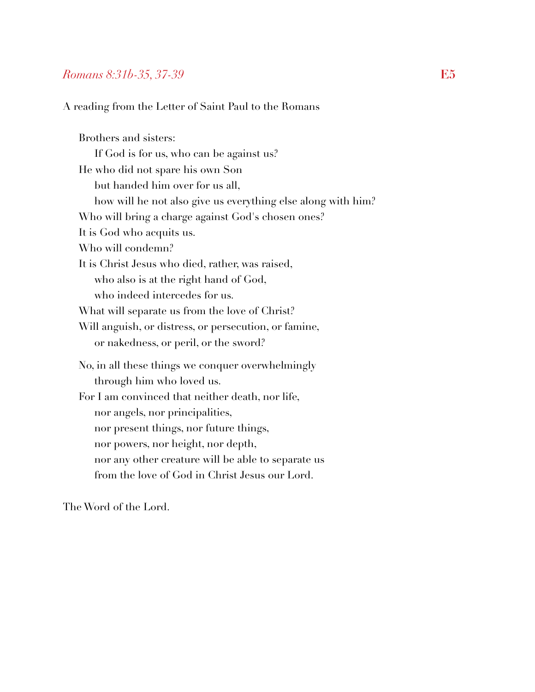#### *Romans 8:31b-35, 37-39* **E5**

A reading from the Letter of Saint Paul to the Romans

Brothers and sisters: If God is for us, who can be against us? He who did not spare his own Son but handed him over for us all, how will he not also give us everything else along with him? Who will bring a charge against God's chosen ones? It is God who acquits us. Who will condemn? It is Christ Jesus who died, rather, was raised, who also is at the right hand of God, who indeed intercedes for us. What will separate us from the love of Christ? Will anguish, or distress, or persecution, or famine, or nakedness, or peril, or the sword? No, in all these things we conquer overwhelmingly through him who loved us. For I am convinced that neither death, nor life, nor angels, nor principalities, nor present things, nor future things, nor powers, nor height, nor depth, nor any other creature will be able to separate us from the love of God in Christ Jesus our Lord.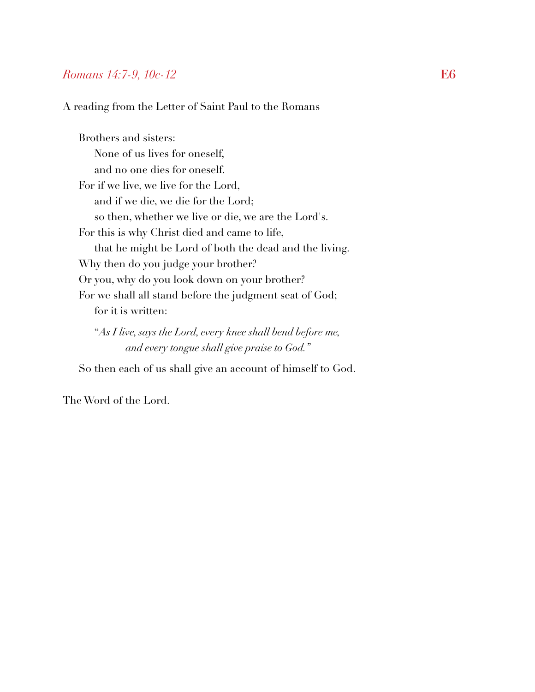#### *Romans 14:7-9, 10c-12* **E6**

A reading from the Letter of Saint Paul to the Romans

Brothers and sisters: None of us lives for oneself, and no one dies for oneself. For if we live, we live for the Lord, and if we die, we die for the Lord; so then, whether we live or die, we are the Lord's. For this is why Christ died and came to life, that he might be Lord of both the dead and the living. Why then do you judge your brother? Or you, why do you look down on your brother? For we shall all stand before the judgment seat of God; for it is written:

 "*As I live, says the Lord, every knee shall bend before me, and every tongue shall give praise to God."*

So then each of us shall give an account of himself to God.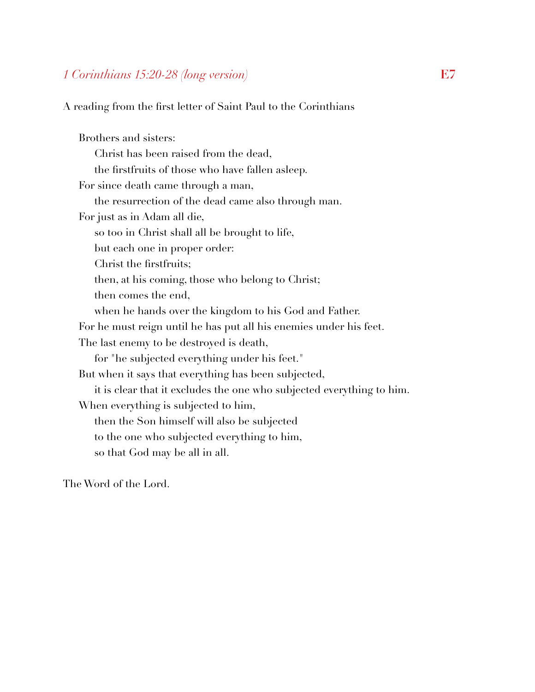## *1 Corinthians 15:20-28 (long version)* **E7**

A reading from the first letter of Saint Paul to the Corinthians

Brothers and sisters: Christ has been raised from the dead, the firstfruits of those who have fallen asleep. For since death came through a man, the resurrection of the dead came also through man. For just as in Adam all die, so too in Christ shall all be brought to life, but each one in proper order: Christ the firstfruits; then, at his coming, those who belong to Christ; then comes the end, when he hands over the kingdom to his God and Father. For he must reign until he has put all his enemies under his feet. The last enemy to be destroyed is death, for "he subjected everything under his feet." But when it says that everything has been subjected, it is clear that it excludes the one who subjected everything to him. When everything is subjected to him, then the Son himself will also be subjected to the one who subjected everything to him, so that God may be all in all.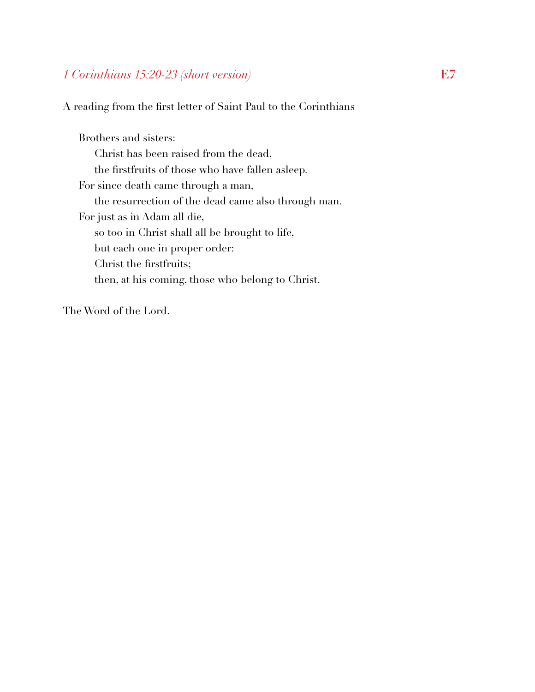# *1 Corinthians 15:20-23 (short version)* **E7**

A reading from the first letter of Saint Paul to the Corinthians

Brothers and sisters: Christ has been raised from the dead, the firstfruits of those who have fallen asleep. For since death came through a man, the resurrection of the dead came also through man. For just as in Adam all die, so too in Christ shall all be brought to life, but each one in proper order: Christ the firstfruits; then, at his coming, those who belong to Christ.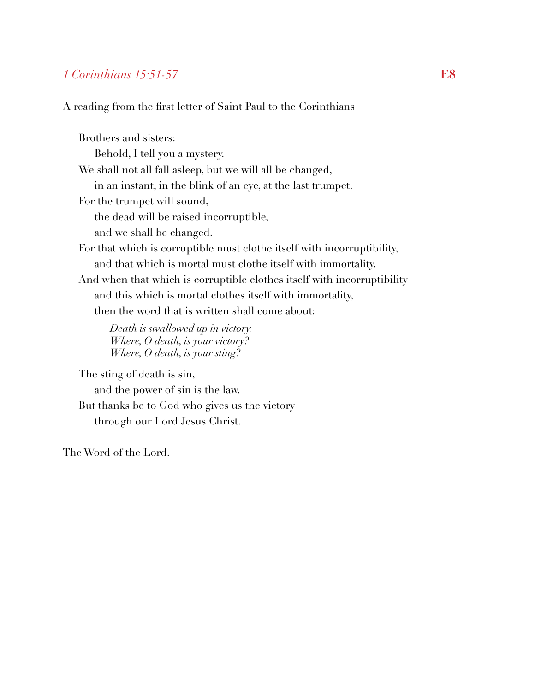#### *1 Corinthians 15:51-57* **E8**

A reading from the first letter of Saint Paul to the Corinthians

Brothers and sisters: Behold, I tell you a mystery. We shall not all fall asleep, but we will all be changed, in an instant, in the blink of an eye, at the last trumpet. For the trumpet will sound, the dead will be raised incorruptible, and we shall be changed. For that which is corruptible must clothe itself with incorruptibility, and that which is mortal must clothe itself with immortality. And when that which is corruptible clothes itself with incorruptibility and this which is mortal clothes itself with immortality, then the word that is written shall come about:

*Death is swallowed up in victory. Where, O death, is your victory? Where, O death, is your sting?*

The sting of death is sin, and the power of sin is the law. But thanks be to God who gives us the victory through our Lord Jesus Christ.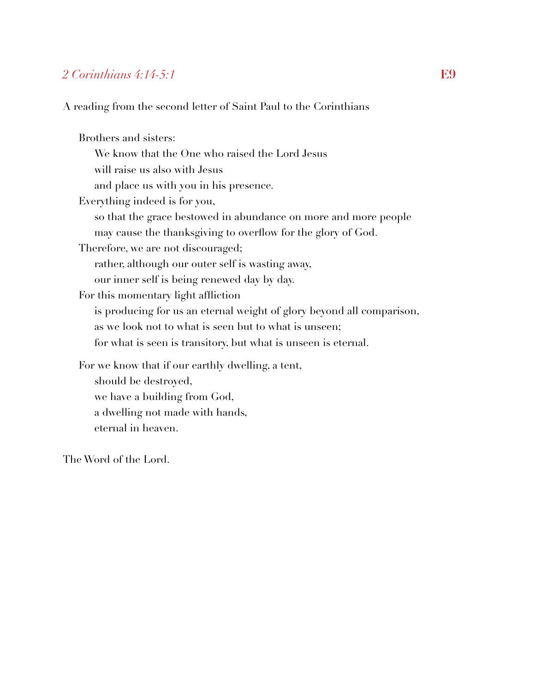## *2 Corinthians 4:14-5:1* **E9**

A reading from the second letter of Saint Paul to the Corinthians

Brothers and sisters: We know that the One who raised the Lord Jesus will raise us also with Jesus and place us with you in his presence. Everything indeed is for you, so that the grace bestowed in abundance on more and more people may cause the thanksgiving to overflow for the glory of God. Therefore, we are not discouraged; rather, although our outer self is wasting away, our inner self is being renewed day by day. For this momentary light affliction is producing for us an eternal weight of glory beyond all comparison, as we look not to what is seen but to what is unseen; for what is seen is transitory, but what is unseen is eternal. For we know that if our earthly dwelling, a tent, should be destroyed, we have a building from God, a dwelling not made with hands, eternal in heaven.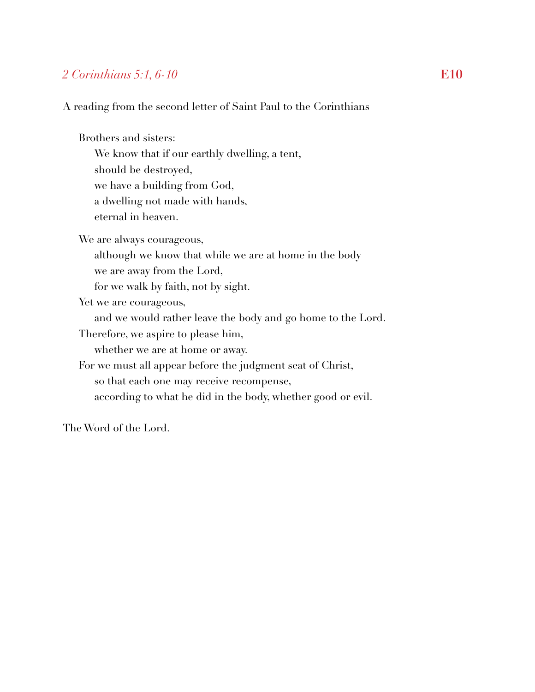## *2 Corinthians 5:1, 6-10* **E10**

A reading from the second letter of Saint Paul to the Corinthians

Brothers and sisters:

 We know that if our earthly dwelling, a tent, should be destroyed, we have a building from God, a dwelling not made with hands, eternal in heaven.

We are always courageous,

although we know that while we are at home in the body

we are away from the Lord,

for we walk by faith, not by sight.

Yet we are courageous,

and we would rather leave the body and go home to the Lord.

Therefore, we aspire to please him,

whether we are at home or away.

For we must all appear before the judgment seat of Christ,

so that each one may receive recompense,

according to what he did in the body, whether good or evil.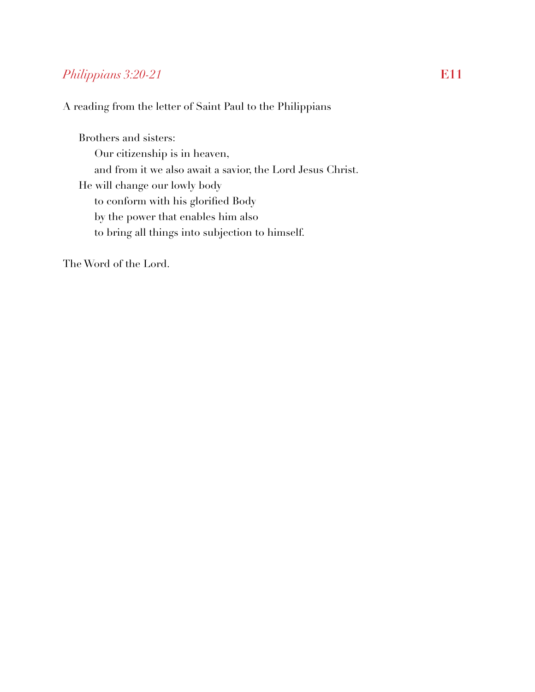# *Philippians 3:20-21* **E11**

A reading from the letter of Saint Paul to the Philippians

Brothers and sisters: Our citizenship is in heaven, and from it we also await a savior, the Lord Jesus Christ. He will change our lowly body to conform with his glorified Body by the power that enables him also to bring all things into subjection to himself.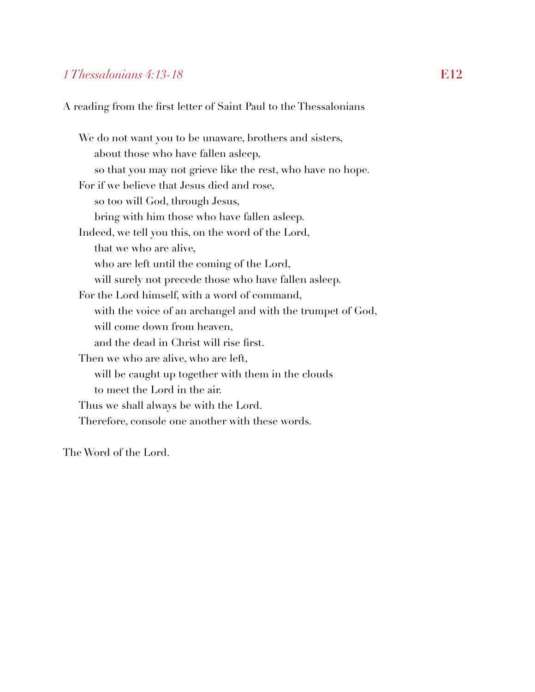#### *1 Thessalonians 4:13-18* **E12**

A reading from the first letter of Saint Paul to the Thessalonians

We do not want you to be unaware, brothers and sisters, about those who have fallen asleep, so that you may not grieve like the rest, who have no hope. For if we believe that Jesus died and rose, so too will God, through Jesus, bring with him those who have fallen asleep. Indeed, we tell you this, on the word of the Lord, that we who are alive, who are left until the coming of the Lord, will surely not precede those who have fallen asleep. For the Lord himself, with a word of command, with the voice of an archangel and with the trumpet of God, will come down from heaven, and the dead in Christ will rise first. Then we who are alive, who are left, will be caught up together with them in the clouds to meet the Lord in the air. Thus we shall always be with the Lord. Therefore, console one another with these words.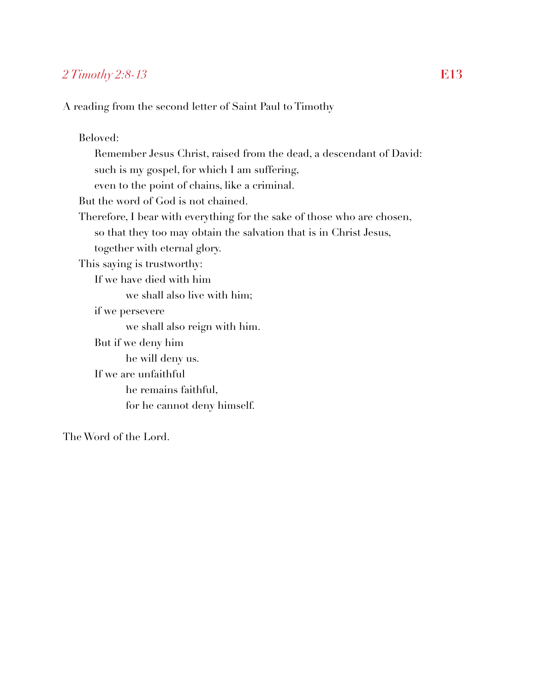# *2 Timothy 2:8-13* **E13**

A reading from the second letter of Saint Paul to Timothy

Beloved: Remember Jesus Christ, raised from the dead, a descendant of David: such is my gospel, for which I am suffering, even to the point of chains, like a criminal. But the word of God is not chained. Therefore, I bear with everything for the sake of those who are chosen, so that they too may obtain the salvation that is in Christ Jesus, together with eternal glory. This saying is trustworthy: If we have died with him we shall also live with him; if we persevere we shall also reign with him. But if we deny him he will deny us. If we are unfaithful he remains faithful, for he cannot deny himself.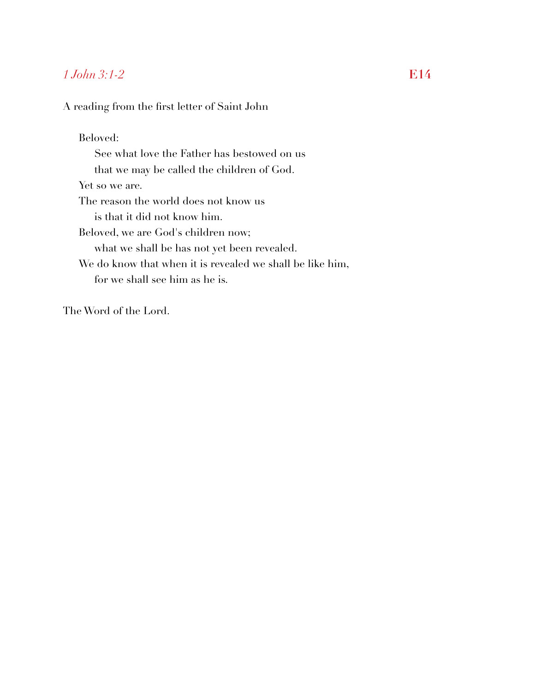# *1 John 3:1-2* **E14**

A reading from the first letter of Saint John

Beloved: See what love the Father has bestowed on us that we may be called the children of God. Yet so we are. The reason the world does not know us is that it did not know him. Beloved, we are God's children now; what we shall be has not yet been revealed. We do know that when it is revealed we shall be like him, for we shall see him as he is.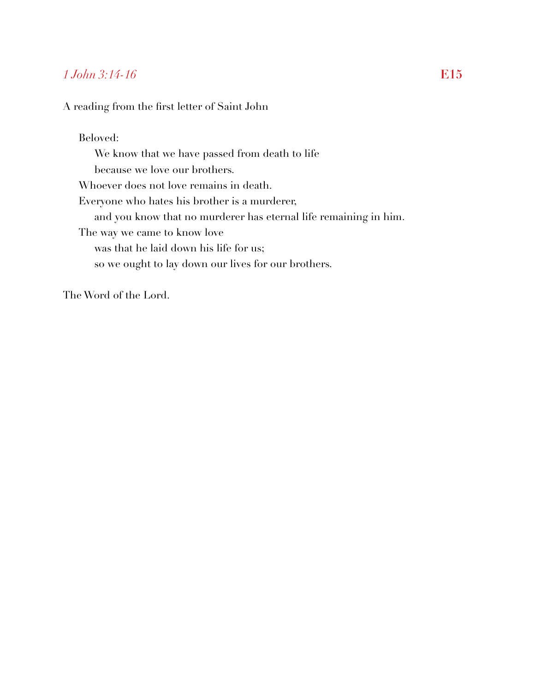## *1 John 3:14-16* **E15**

A reading from the first letter of Saint John

Beloved: We know that we have passed from death to life because we love our brothers. Whoever does not love remains in death. Everyone who hates his brother is a murderer, and you know that no murderer has eternal life remaining in him. The way we came to know love was that he laid down his life for us; so we ought to lay down our lives for our brothers.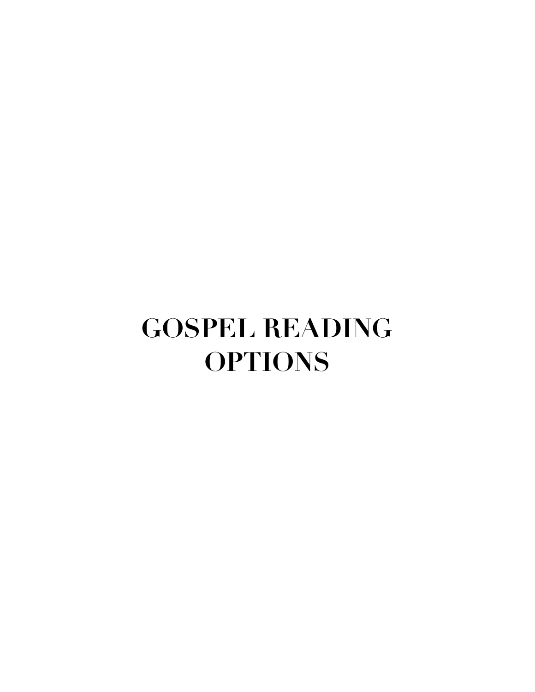# **GOSPEL READING OPTIONS**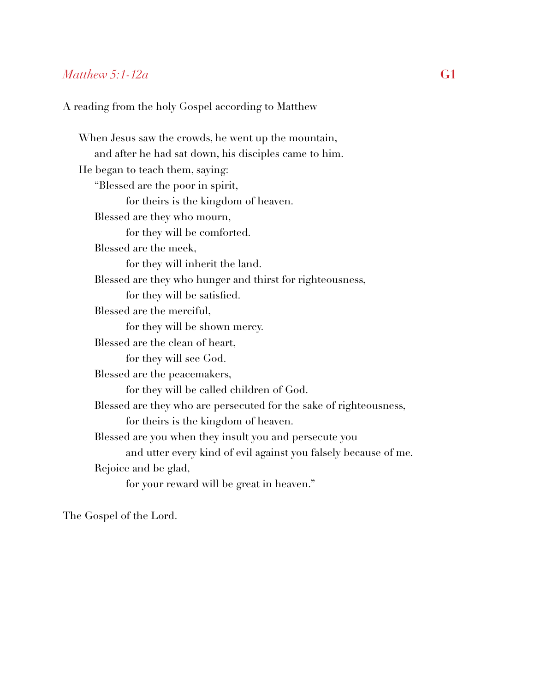#### *Matthew 5:1-12a* **G1**

#### A reading from the holy Gospel according to Matthew

When Jesus saw the crowds, he went up the mountain, and after he had sat down, his disciples came to him. He began to teach them, saying: "Blessed are the poor in spirit, for theirs is the kingdom of heaven. Blessed are they who mourn, for they will be comforted. Blessed are the meek, for they will inherit the land. Blessed are they who hunger and thirst for righteousness, for they will be satisfied. Blessed are the merciful, for they will be shown mercy. Blessed are the clean of heart, for they will see God. Blessed are the peacemakers, for they will be called children of God. Blessed are they who are persecuted for the sake of righteousness, for theirs is the kingdom of heaven. Blessed are you when they insult you and persecute you and utter every kind of evil against you falsely because of me. Rejoice and be glad, for your reward will be great in heaven."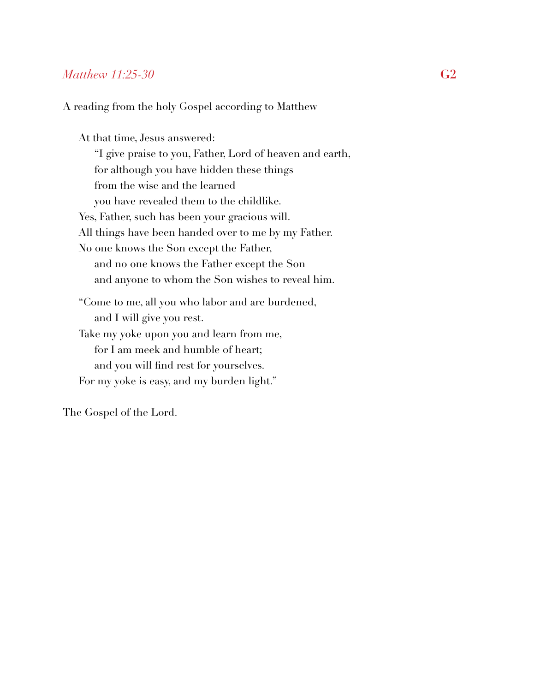#### *Matthew 11:25-30* **G2**

A reading from the holy Gospel according to Matthew

At that time, Jesus answered: "I give praise to you, Father, Lord of heaven and earth, for although you have hidden these things from the wise and the learned you have revealed them to the childlike. Yes, Father, such has been your gracious will. All things have been handed over to me by my Father. No one knows the Son except the Father, and no one knows the Father except the Son and anyone to whom the Son wishes to reveal him. "Come to me, all you who labor and are burdened, and I will give you rest. Take my yoke upon you and learn from me, for I am meek and humble of heart; and you will find rest for yourselves. For my yoke is easy, and my burden light."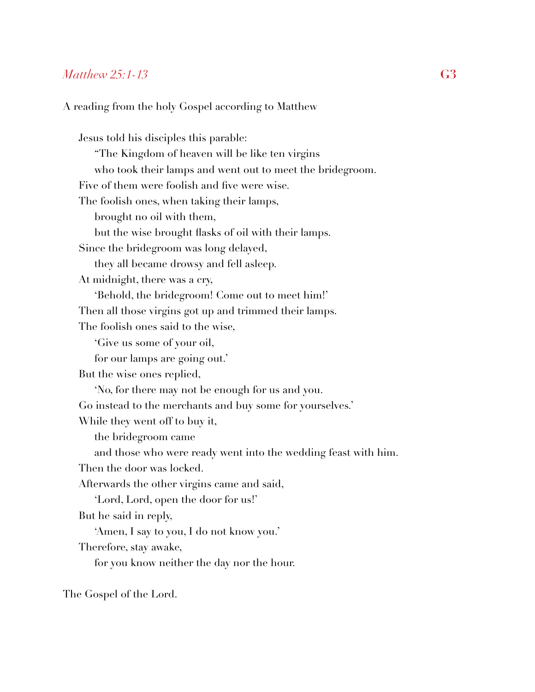#### *Matthew 25:1-13* **G3**

#### A reading from the holy Gospel according to Matthew

Jesus told his disciples this parable: "The Kingdom of heaven will be like ten virgins who took their lamps and went out to meet the bridegroom. Five of them were foolish and five were wise. The foolish ones, when taking their lamps, brought no oil with them, but the wise brought flasks of oil with their lamps. Since the bridegroom was long delayed, they all became drowsy and fell asleep. At midnight, there was a cry, 'Behold, the bridegroom! Come out to meet him!' Then all those virgins got up and trimmed their lamps. The foolish ones said to the wise, 'Give us some of your oil, for our lamps are going out.' But the wise ones replied, 'No, for there may not be enough for us and you. Go instead to the merchants and buy some for yourselves.' While they went off to buy it, the bridegroom came and those who were ready went into the wedding feast with him. Then the door was locked. Afterwards the other virgins came and said, 'Lord, Lord, open the door for us!' But he said in reply, 'Amen, I say to you, I do not know you.' Therefore, stay awake, for you know neither the day nor the hour.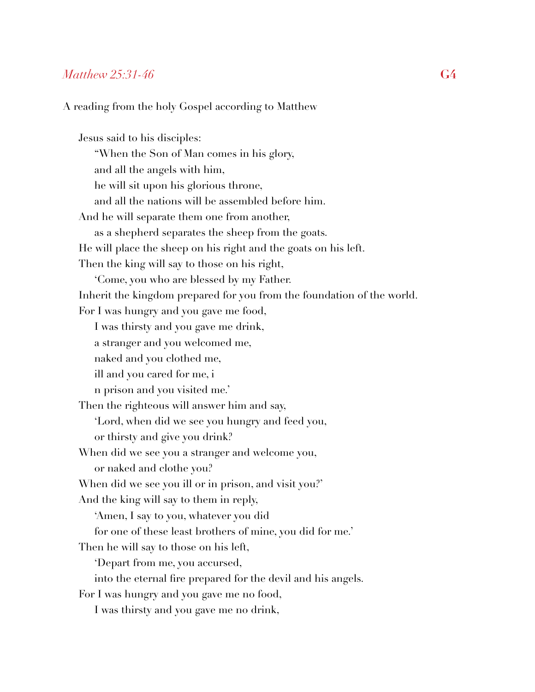#### *Matthew 25:31-46* **G4**

#### A reading from the holy Gospel according to Matthew

Jesus said to his disciples: "When the Son of Man comes in his glory, and all the angels with him, he will sit upon his glorious throne, and all the nations will be assembled before him. And he will separate them one from another, as a shepherd separates the sheep from the goats. He will place the sheep on his right and the goats on his left. Then the king will say to those on his right, 'Come, you who are blessed by my Father. Inherit the kingdom prepared for you from the foundation of the world. For I was hungry and you gave me food, I was thirsty and you gave me drink, a stranger and you welcomed me, naked and you clothed me, ill and you cared for me, i n prison and you visited me.' Then the righteous will answer him and say, 'Lord, when did we see you hungry and feed you, or thirsty and give you drink? When did we see you a stranger and welcome you, or naked and clothe you? When did we see you ill or in prison, and visit you?' And the king will say to them in reply, 'Amen, I say to you, whatever you did for one of these least brothers of mine, you did for me.' Then he will say to those on his left, 'Depart from me, you accursed, into the eternal fire prepared for the devil and his angels. For I was hungry and you gave me no food, I was thirsty and you gave me no drink,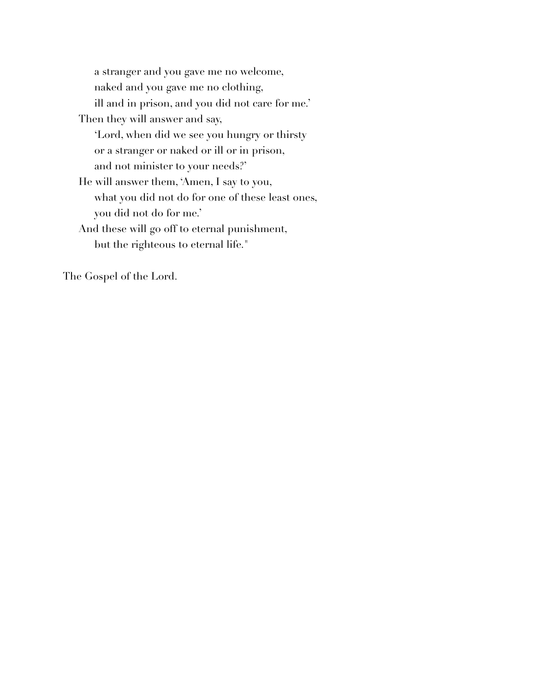a stranger and you gave me no welcome, naked and you gave me no clothing, ill and in prison, and you did not care for me.' Then they will answer and say, 'Lord, when did we see you hungry or thirsty or a stranger or naked or ill or in prison, and not minister to your needs?' He will answer them, 'Amen, I say to you, what you did not do for one of these least ones, you did not do for me.' And these will go off to eternal punishment, but the righteous to eternal life."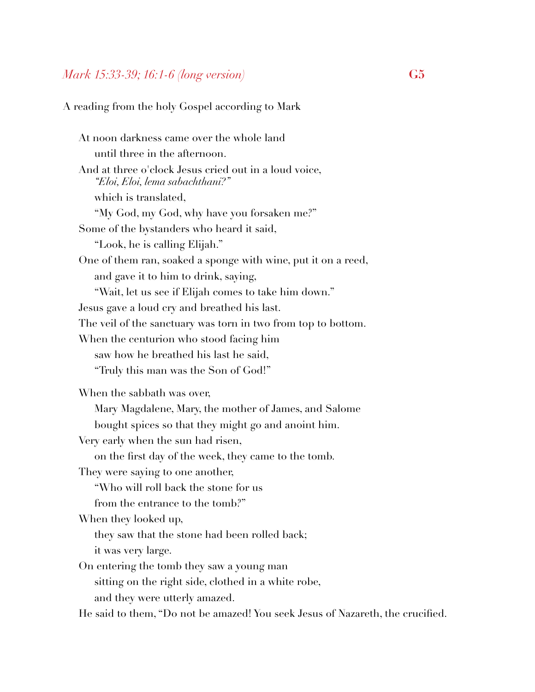#### *Mark 15:33-39; 16:1-6 (long version)* **G5**

A reading from the holy Gospel according to Mark

At noon darkness came over the whole land until three in the afternoon. And at three o'clock Jesus cried out in a loud voice,  *"Eloi, Eloi, lema sabachthani?"*  which is translated, "My God, my God, why have you forsaken me?" Some of the bystanders who heard it said, "Look, he is calling Elijah." One of them ran, soaked a sponge with wine, put it on a reed, and gave it to him to drink, saying, "Wait, let us see if Elijah comes to take him down." Jesus gave a loud cry and breathed his last. The veil of the sanctuary was torn in two from top to bottom. When the centurion who stood facing him saw how he breathed his last he said, "Truly this man was the Son of God!" When the sabbath was over, Mary Magdalene, Mary, the mother of James, and Salome bought spices so that they might go and anoint him. Very early when the sun had risen, on the first day of the week, they came to the tomb. They were saying to one another, "Who will roll back the stone for us from the entrance to the tomb?" When they looked up, they saw that the stone had been rolled back; it was very large. On entering the tomb they saw a young man sitting on the right side, clothed in a white robe, and they were utterly amazed. He said to them, "Do not be amazed! You seek Jesus of Nazareth, the crucified.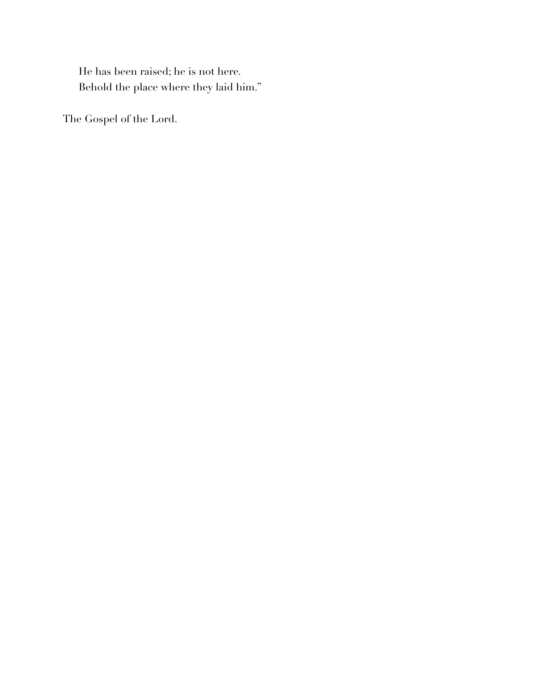He has been raised; he is not here. Behold the place where they laid him."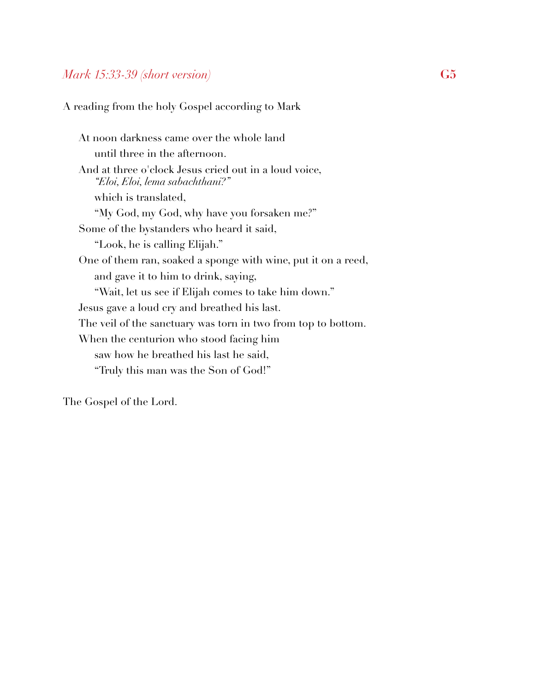## *Mark 15:33-39 (short version)* **G5**

A reading from the holy Gospel according to Mark

At noon darkness came over the whole land until three in the afternoon. And at three o'clock Jesus cried out in a loud voice,  *"Eloi, Eloi, lema sabachthani?"*  which is translated, "My God, my God, why have you forsaken me?" Some of the bystanders who heard it said, "Look, he is calling Elijah." One of them ran, soaked a sponge with wine, put it on a reed, and gave it to him to drink, saying, "Wait, let us see if Elijah comes to take him down." Jesus gave a loud cry and breathed his last. The veil of the sanctuary was torn in two from top to bottom. When the centurion who stood facing him saw how he breathed his last he said, "Truly this man was the Son of God!"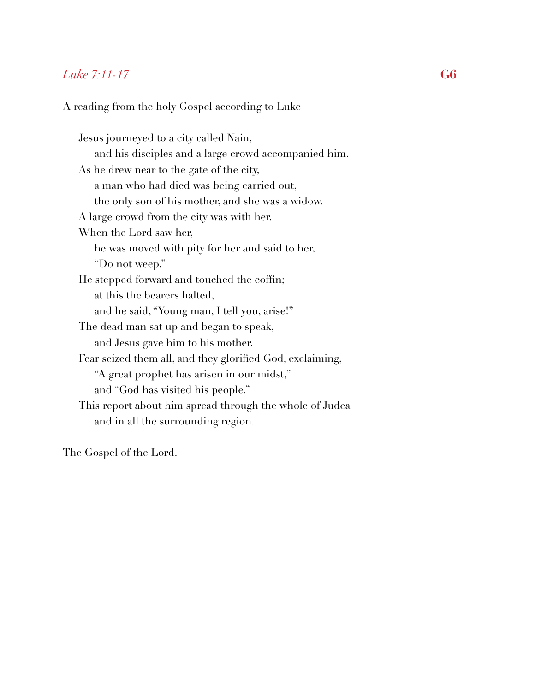## *Luke 7:11-17* **G6**

A reading from the holy Gospel according to Luke

Jesus journeyed to a city called Nain, and his disciples and a large crowd accompanied him. As he drew near to the gate of the city, a man who had died was being carried out, the only son of his mother, and she was a widow. A large crowd from the city was with her. When the Lord saw her, he was moved with pity for her and said to her, "Do not weep." He stepped forward and touched the coffin; at this the bearers halted, and he said, "Young man, I tell you, arise!" The dead man sat up and began to speak, and Jesus gave him to his mother. Fear seized them all, and they glorified God, exclaiming, "A great prophet has arisen in our midst," and "God has visited his people." This report about him spread through the whole of Judea and in all the surrounding region.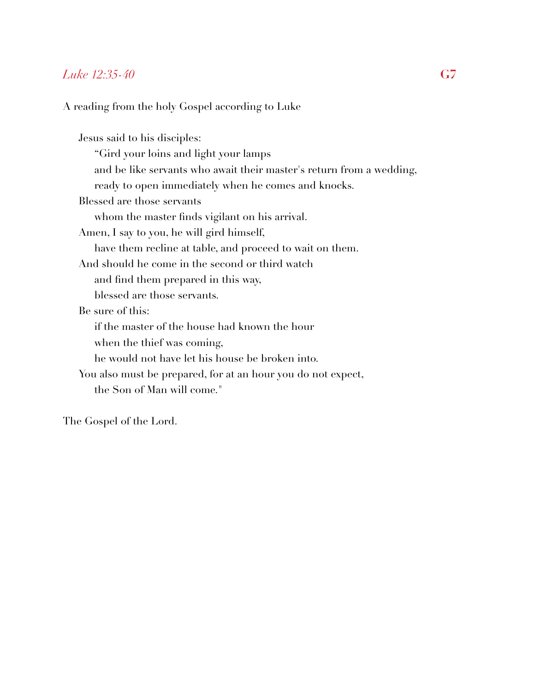#### *Luke 12:35-40* **G7**

#### A reading from the holy Gospel according to Luke

Jesus said to his disciples: "Gird your loins and light your lamps and be like servants who await their master's return from a wedding, ready to open immediately when he comes and knocks. Blessed are those servants whom the master finds vigilant on his arrival. Amen, I say to you, he will gird himself, have them recline at table, and proceed to wait on them. And should he come in the second or third watch and find them prepared in this way, blessed are those servants. Be sure of this: if the master of the house had known the hour when the thief was coming, he would not have let his house be broken into. You also must be prepared, for at an hour you do not expect, the Son of Man will come."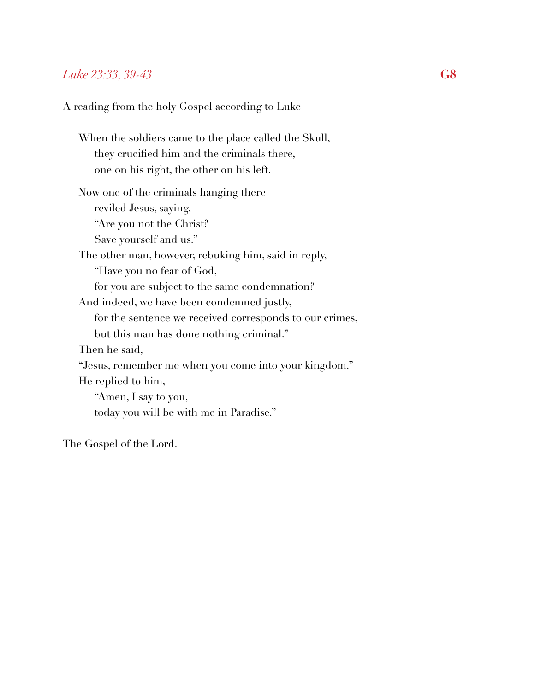#### *Luke 23:33, 39-43* **G8**

A reading from the holy Gospel according to Luke

When the soldiers came to the place called the Skull, they crucified him and the criminals there, one on his right, the other on his left. Now one of the criminals hanging there reviled Jesus, saying, "Are you not the Christ? Save yourself and us." The other man, however, rebuking him, said in reply, "Have you no fear of God, for you are subject to the same condemnation? And indeed, we have been condemned justly, for the sentence we received corresponds to our crimes, but this man has done nothing criminal." Then he said, "Jesus, remember me when you come into your kingdom." He replied to him, "Amen, I say to you, today you will be with me in Paradise."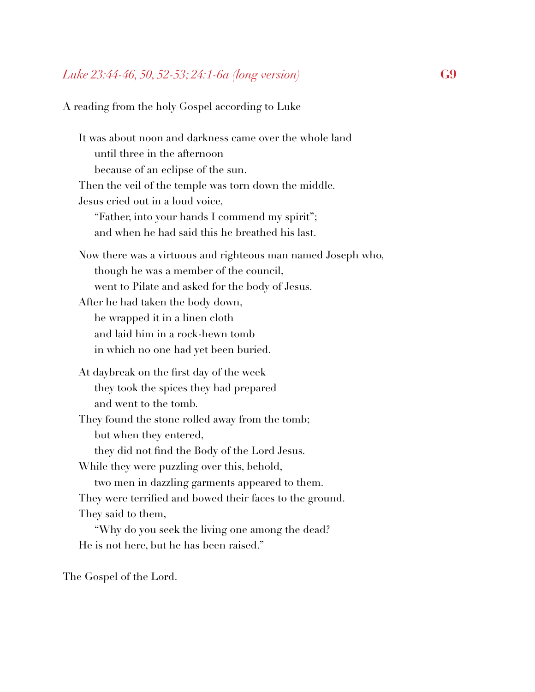### *Luke 23:44-46, 50, 52-53; 24:1-6a (long version)* **G9**

A reading from the holy Gospel according to Luke

It was about noon and darkness came over the whole land until three in the afternoon because of an eclipse of the sun. Then the veil of the temple was torn down the middle. Jesus cried out in a loud voice, "Father, into your hands I commend my spirit"; and when he had said this he breathed his last. Now there was a virtuous and righteous man named Joseph who, though he was a member of the council, went to Pilate and asked for the body of Jesus. After he had taken the body down, he wrapped it in a linen cloth and laid him in a rock-hewn tomb in which no one had yet been buried. At daybreak on the first day of the week they took the spices they had prepared and went to the tomb. They found the stone rolled away from the tomb; but when they entered, they did not find the Body of the Lord Jesus. While they were puzzling over this, behold, two men in dazzling garments appeared to them. They were terrified and bowed their faces to the ground. They said to them, "Why do you seek the living one among the dead? He is not here, but he has been raised."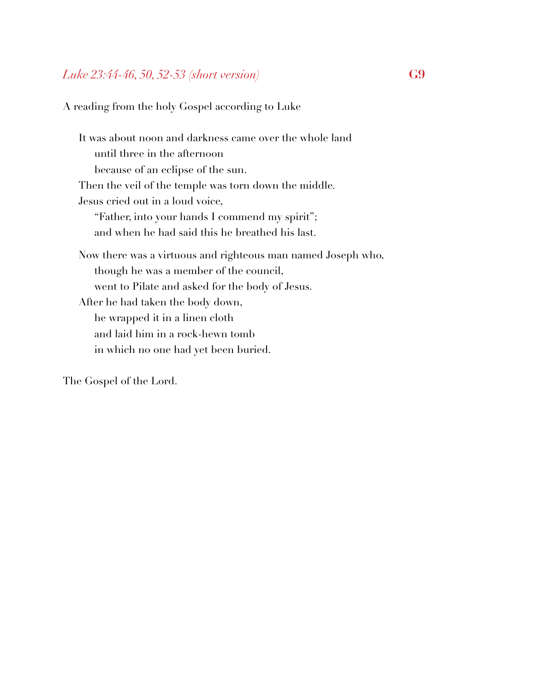## *Luke 23:44-46, 50, 52-53 (short version)* **G9**

A reading from the holy Gospel according to Luke

It was about noon and darkness came over the whole land until three in the afternoon because of an eclipse of the sun. Then the veil of the temple was torn down the middle. Jesus cried out in a loud voice, "Father, into your hands I commend my spirit"; and when he had said this he breathed his last. Now there was a virtuous and righteous man named Joseph who, though he was a member of the council, went to Pilate and asked for the body of Jesus. After he had taken the body down, he wrapped it in a linen cloth and laid him in a rock-hewn tomb in which no one had yet been buried.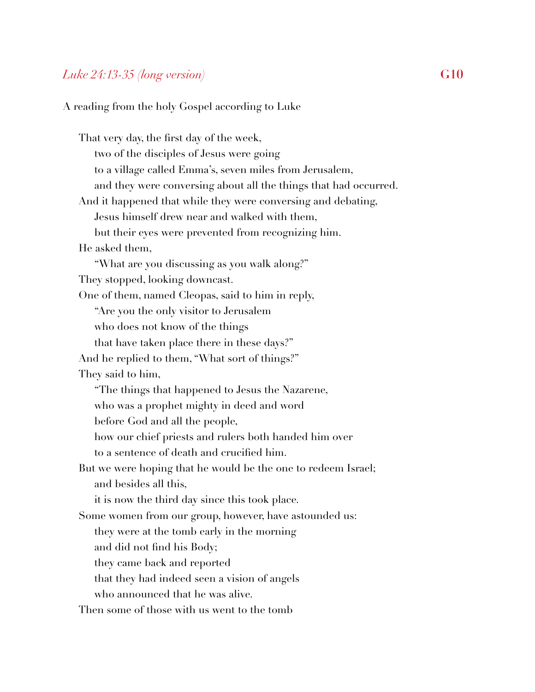#### *Luke 24:13-35 (long version)* **G10**

A reading from the holy Gospel according to Luke

That very day, the first day of the week, two of the disciples of Jesus were going to a village called Emma's, seven miles from Jerusalem, and they were conversing about all the things that had occurred. And it happened that while they were conversing and debating, Jesus himself drew near and walked with them, but their eyes were prevented from recognizing him. He asked them, "What are you discussing as you walk along?" They stopped, looking downcast. One of them, named Cleopas, said to him in reply, "Are you the only visitor to Jerusalem who does not know of the things that have taken place there in these days?" And he replied to them, "What sort of things?" They said to him, "The things that happened to Jesus the Nazarene, who was a prophet mighty in deed and word before God and all the people, how our chief priests and rulers both handed him over to a sentence of death and crucified him. But we were hoping that he would be the one to redeem Israel; and besides all this, it is now the third day since this took place. Some women from our group, however, have astounded us: they were at the tomb early in the morning and did not find his Body; they came back and reported that they had indeed seen a vision of angels who announced that he was alive. Then some of those with us went to the tomb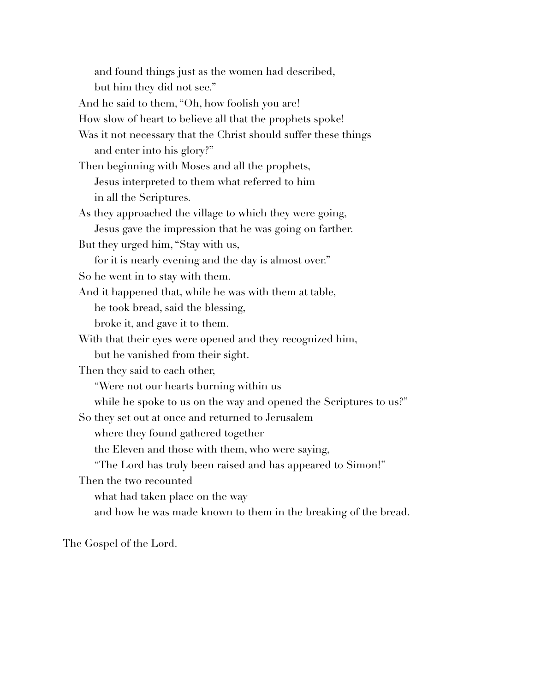and found things just as the women had described, but him they did not see." And he said to them, "Oh, how foolish you are! How slow of heart to believe all that the prophets spoke! Was it not necessary that the Christ should suffer these things and enter into his glory?" Then beginning with Moses and all the prophets, Jesus interpreted to them what referred to him in all the Scriptures. As they approached the village to which they were going, Jesus gave the impression that he was going on farther. But they urged him, "Stay with us, for it is nearly evening and the day is almost over." So he went in to stay with them. And it happened that, while he was with them at table, he took bread, said the blessing, broke it, and gave it to them. With that their eyes were opened and they recognized him, but he vanished from their sight. Then they said to each other, "Were not our hearts burning within us while he spoke to us on the way and opened the Scriptures to us?" So they set out at once and returned to Jerusalem where they found gathered together the Eleven and those with them, who were saying, "The Lord has truly been raised and has appeared to Simon!" Then the two recounted what had taken place on the way and how he was made known to them in the breaking of the bread.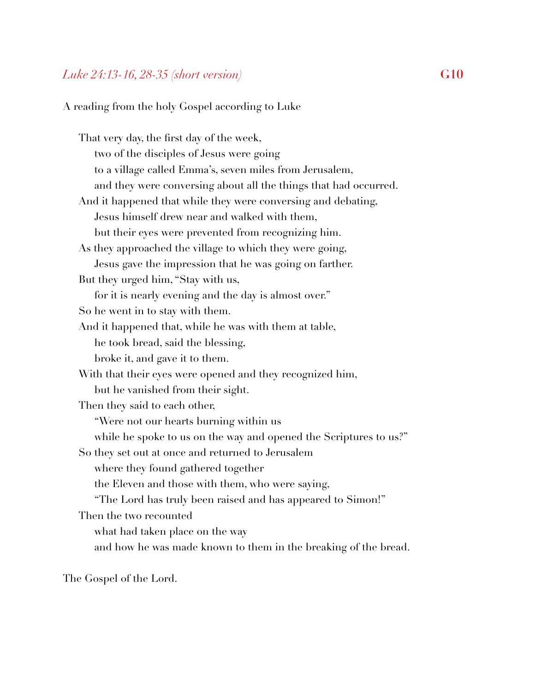#### *Luke 24:13-16, 28-35 (short version)* **G10**

A reading from the holy Gospel according to Luke

That very day, the first day of the week, two of the disciples of Jesus were going to a village called Emma's, seven miles from Jerusalem, and they were conversing about all the things that had occurred. And it happened that while they were conversing and debating, Jesus himself drew near and walked with them, but their eyes were prevented from recognizing him. As they approached the village to which they were going, Jesus gave the impression that he was going on farther. But they urged him, "Stay with us, for it is nearly evening and the day is almost over." So he went in to stay with them. And it happened that, while he was with them at table, he took bread, said the blessing, broke it, and gave it to them. With that their eyes were opened and they recognized him, but he vanished from their sight. Then they said to each other, "Were not our hearts burning within us while he spoke to us on the way and opened the Scriptures to us?" So they set out at once and returned to Jerusalem where they found gathered together the Eleven and those with them, who were saying, "The Lord has truly been raised and has appeared to Simon!" Then the two recounted what had taken place on the way and how he was made known to them in the breaking of the bread.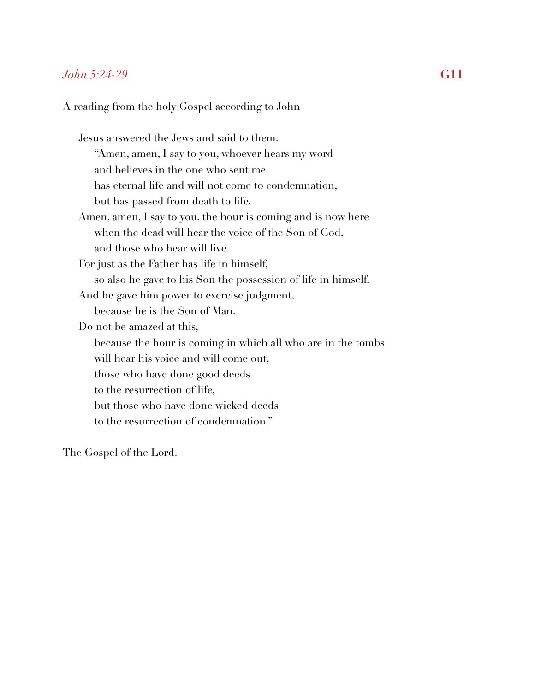#### *John 5:24-29* **G11**

A reading from the holy Gospel according to John

Jesus answered the Jews and said to them: "Amen, amen, I say to you, whoever hears my word and believes in the one who sent me has eternal life and will not come to condemnation, but has passed from death to life. Amen, amen, I say to you, the hour is coming and is now here when the dead will hear the voice of the Son of God, and those who hear will live. For just as the Father has life in himself, so also he gave to his Son the possession of life in himself. And he gave him power to exercise judgment, because he is the Son of Man. Do not be amazed at this, because the hour is coming in which all who are in the tombs will hear his voice and will come out, those who have done good deeds to the resurrection of life, but those who have done wicked deeds to the resurrection of condemnation."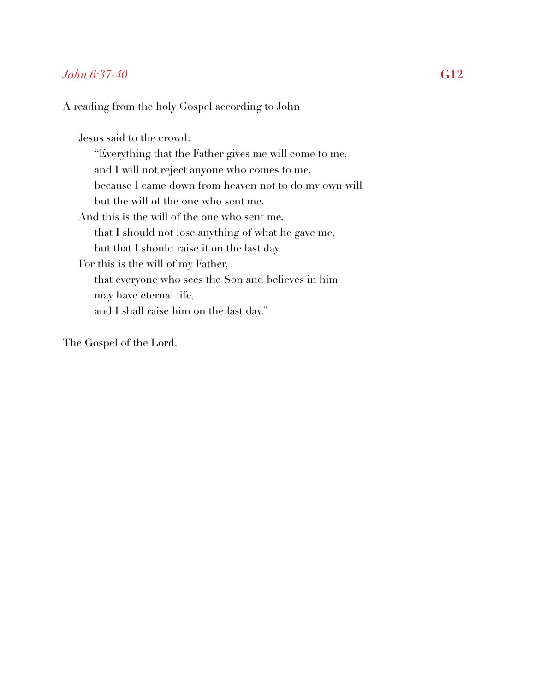#### *John 6:37-40* **G12**

A reading from the holy Gospel according to John

Jesus said to the crowd: "Everything that the Father gives me will come to me, and I will not reject anyone who comes to me, because I came down from heaven not to do my own will but the will of the one who sent me. And this is the will of the one who sent me, that I should not lose anything of what he gave me, but that I should raise it on the last day. For this is the will of my Father, that everyone who sees the Son and believes in him may have eternal life, and I shall raise him on the last day."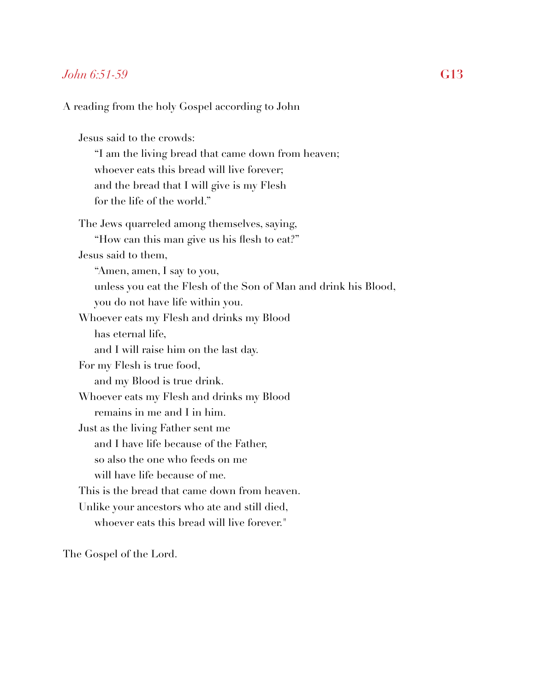### *John 6:51-59* **G13**

A reading from the holy Gospel according to John

Jesus said to the crowds: "I am the living bread that came down from heaven; whoever eats this bread will live forever; and the bread that I will give is my Flesh for the life of the world." The Jews quarreled among themselves, saying, "How can this man give us his flesh to eat?" Jesus said to them, "Amen, amen, I say to you, unless you eat the Flesh of the Son of Man and drink his Blood, you do not have life within you. Whoever eats my Flesh and drinks my Blood has eternal life, and I will raise him on the last day. For my Flesh is true food, and my Blood is true drink. Whoever eats my Flesh and drinks my Blood remains in me and I in him. Just as the living Father sent me and I have life because of the Father, so also the one who feeds on me will have life because of me. This is the bread that came down from heaven. Unlike your ancestors who ate and still died, whoever eats this bread will live forever."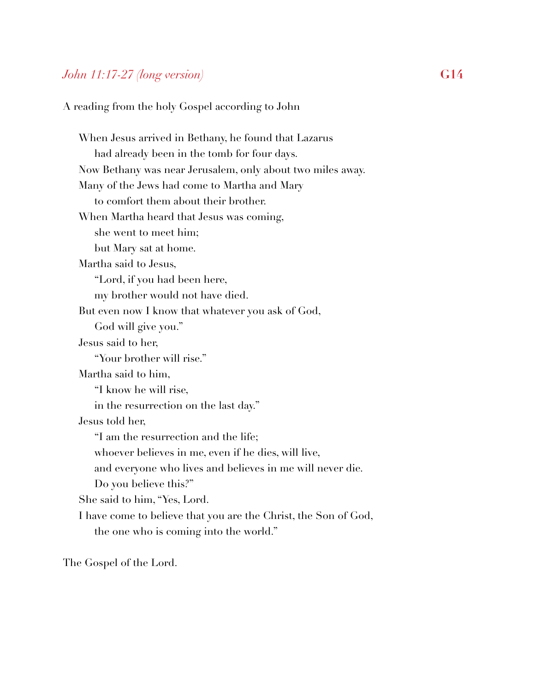# *John 11:17-27 (long version)* **G14**

A reading from the holy Gospel according to John

When Jesus arrived in Bethany, he found that Lazarus had already been in the tomb for four days. Now Bethany was near Jerusalem, only about two miles away. Many of the Jews had come to Martha and Mary to comfort them about their brother. When Martha heard that Jesus was coming, she went to meet him; but Mary sat at home. Martha said to Jesus, "Lord, if you had been here, my brother would not have died. But even now I know that whatever you ask of God, God will give you." Jesus said to her, "Your brother will rise." Martha said to him, "I know he will rise, in the resurrection on the last day." Jesus told her, "I am the resurrection and the life; whoever believes in me, even if he dies, will live, and everyone who lives and believes in me will never die. Do you believe this?" She said to him, "Yes, Lord. I have come to believe that you are the Christ, the Son of God, the one who is coming into the world."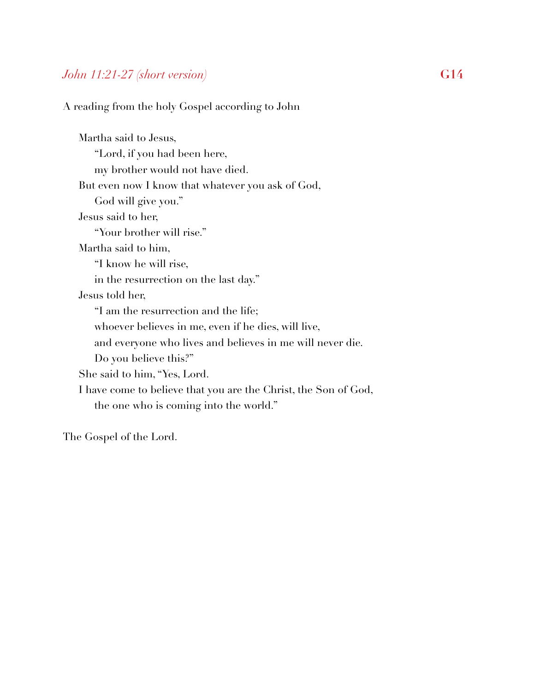# *John 11:21-27 (short version)* **G14**

A reading from the holy Gospel according to John

Martha said to Jesus, "Lord, if you had been here, my brother would not have died. But even now I know that whatever you ask of God, God will give you." Jesus said to her, "Your brother will rise." Martha said to him, "I know he will rise, in the resurrection on the last day." Jesus told her, "I am the resurrection and the life; whoever believes in me, even if he dies, will live, and everyone who lives and believes in me will never die. Do you believe this?" She said to him, "Yes, Lord. I have come to believe that you are the Christ, the Son of God, the one who is coming into the world."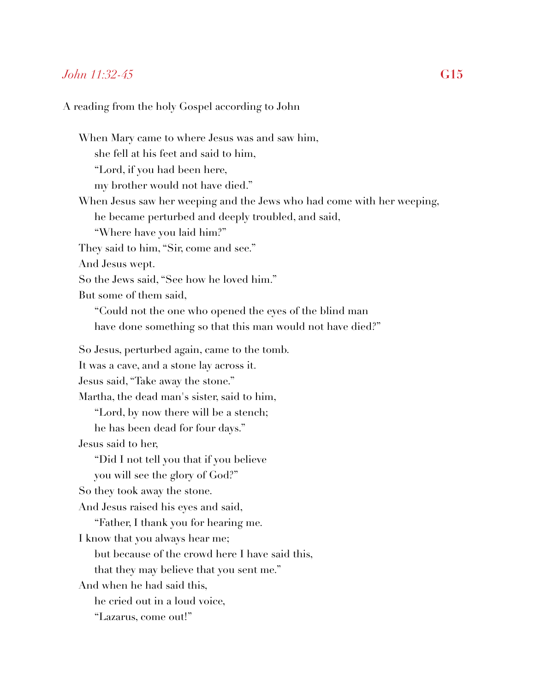#### *John 11:32-45* **G15**

#### A reading from the holy Gospel according to John

When Mary came to where Jesus was and saw him, she fell at his feet and said to him, "Lord, if you had been here, my brother would not have died." When Jesus saw her weeping and the Jews who had come with her weeping, he became perturbed and deeply troubled, and said, "Where have you laid him?" They said to him, "Sir, come and see." And Jesus wept. So the Jews said, "See how he loved him." But some of them said, "Could not the one who opened the eyes of the blind man have done something so that this man would not have died?" So Jesus, perturbed again, came to the tomb. It was a cave, and a stone lay across it. Jesus said, "Take away the stone." Martha, the dead man's sister, said to him, "Lord, by now there will be a stench; he has been dead for four days." Jesus said to her, "Did I not tell you that if you believe you will see the glory of God?" So they took away the stone. And Jesus raised his eyes and said, "Father, I thank you for hearing me. I know that you always hear me; but because of the crowd here I have said this, that they may believe that you sent me." And when he had said this, he cried out in a loud voice, "Lazarus, come out!"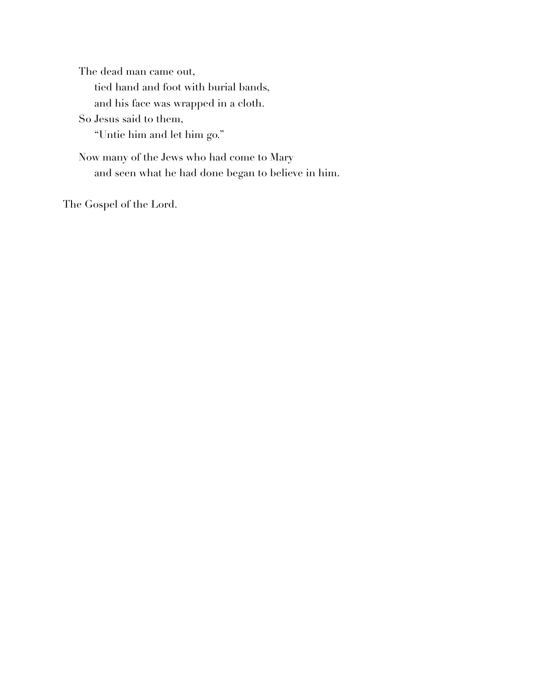The dead man came out, tied hand and foot with burial bands, and his face was wrapped in a cloth. So Jesus said to them, "Untie him and let him go." Now many of the Jews who had come to Mary and seen what he had done began to believe in him.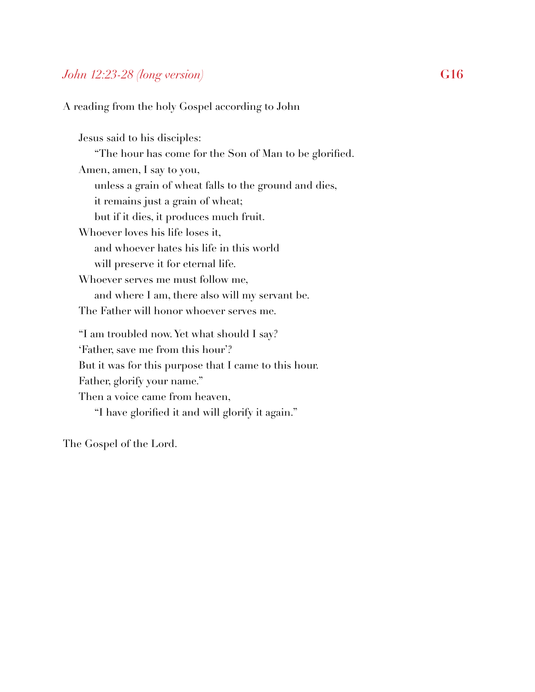# *John 12:23-28 (long version)* **G16**

A reading from the holy Gospel according to John

Jesus said to his disciples: "The hour has come for the Son of Man to be glorified. Amen, amen, I say to you, unless a grain of wheat falls to the ground and dies, it remains just a grain of wheat; but if it dies, it produces much fruit. Whoever loves his life loses it, and whoever hates his life in this world will preserve it for eternal life. Whoever serves me must follow me, and where I am, there also will my servant be. The Father will honor whoever serves me. "I am troubled now. Yet what should I say? 'Father, save me from this hour'? But it was for this purpose that I came to this hour. Father, glorify your name." Then a voice came from heaven, "I have glorified it and will glorify it again."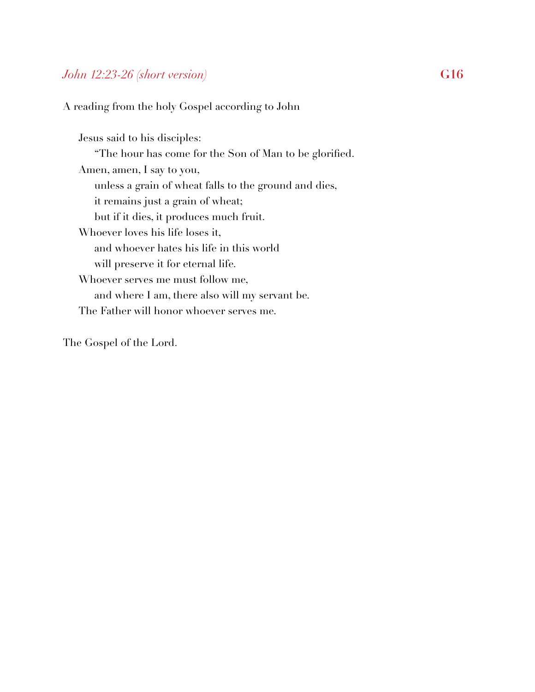# *John 12:23-26 (short version)* **G16**

A reading from the holy Gospel according to John

Jesus said to his disciples: "The hour has come for the Son of Man to be glorified. Amen, amen, I say to you, unless a grain of wheat falls to the ground and dies, it remains just a grain of wheat; but if it dies, it produces much fruit. Whoever loves his life loses it, and whoever hates his life in this world will preserve it for eternal life. Whoever serves me must follow me, and where I am, there also will my servant be. The Father will honor whoever serves me.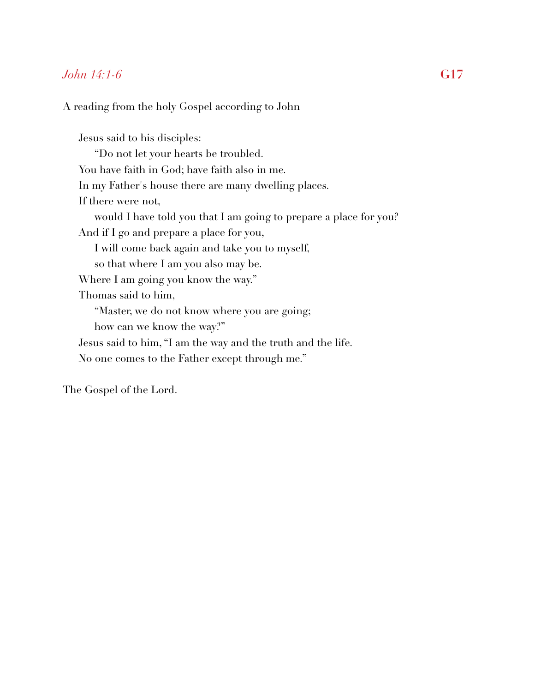### *John 14:1-6* **G17**

A reading from the holy Gospel according to John

Jesus said to his disciples: "Do not let your hearts be troubled. You have faith in God; have faith also in me. In my Father's house there are many dwelling places. If there were not, would I have told you that I am going to prepare a place for you? And if I go and prepare a place for you, I will come back again and take you to myself, so that where I am you also may be. Where I am going you know the way." Thomas said to him, "Master, we do not know where you are going; how can we know the way?" Jesus said to him, "I am the way and the truth and the life. No one comes to the Father except through me."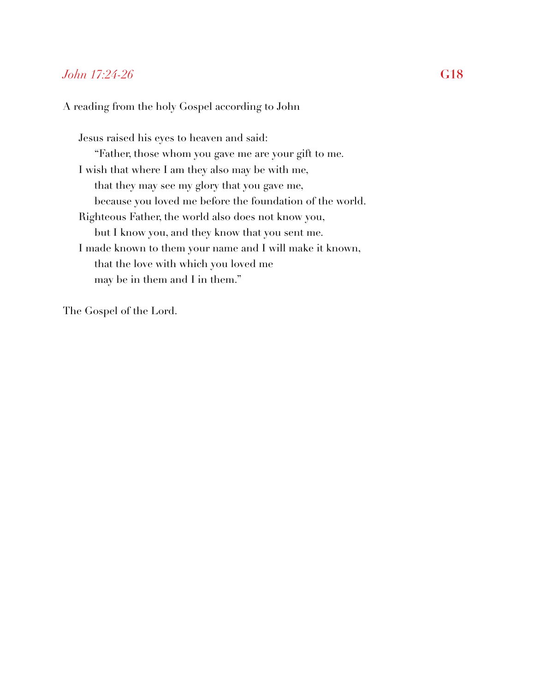## *John 17:24-26* **G18**

#### A reading from the holy Gospel according to John

Jesus raised his eyes to heaven and said: "Father, those whom you gave me are your gift to me. I wish that where I am they also may be with me, that they may see my glory that you gave me, because you loved me before the foundation of the world. Righteous Father, the world also does not know you, but I know you, and they know that you sent me. I made known to them your name and I will make it known, that the love with which you loved me may be in them and I in them."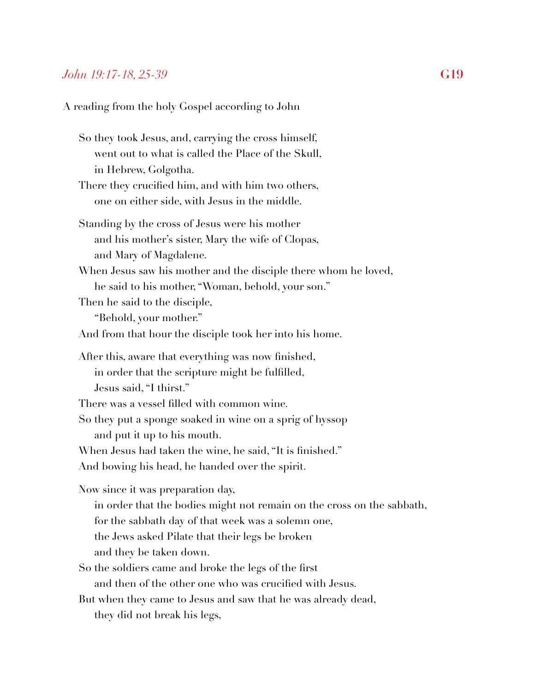#### *John 19:17-18, 25-39* **G19**

A reading from the holy Gospel according to John

So they took Jesus, and, carrying the cross himself, went out to what is called the Place of the Skull, in Hebrew, Golgotha.

#### There they crucified him, and with him two others, one on either side, with Jesus in the middle.

- Standing by the cross of Jesus were his mother and his mother's sister, Mary the wife of Clopas, and Mary of Magdalene.
- When Jesus saw his mother and the disciple there whom he loved, he said to his mother, "Woman, behold, your son."
- Then he said to the disciple,

"Behold, your mother."

And from that hour the disciple took her into his home.

After this, aware that everything was now finished, in order that the scripture might be fulfilled, Jesus said, "I thirst."

There was a vessel filled with common wine.

So they put a sponge soaked in wine on a sprig of hyssop and put it up to his mouth.

When Jesus had taken the wine, he said, "It is finished."

And bowing his head, he handed over the spirit.

Now since it was preparation day,

- in order that the bodies might not remain on the cross on the sabbath,
- for the sabbath day of that week was a solemn one,
- the Jews asked Pilate that their legs be broken
- and they be taken down.
- So the soldiers came and broke the legs of the first and then of the other one who was crucified with Jesus.
- But when they came to Jesus and saw that he was already dead, they did not break his legs,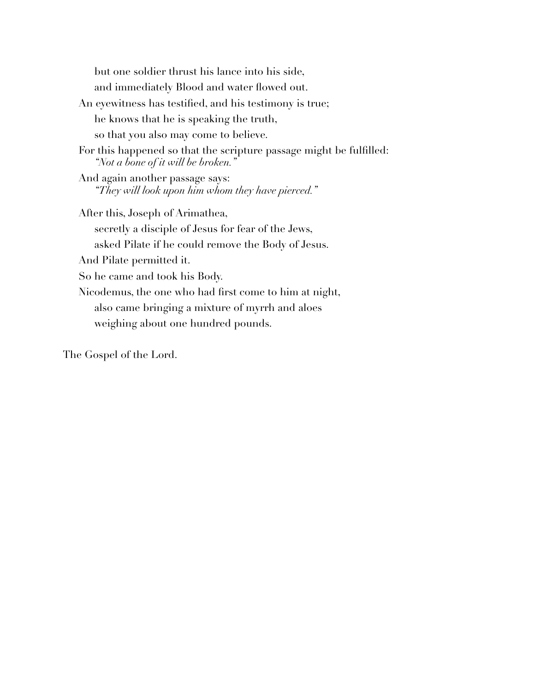but one soldier thrust his lance into his side, and immediately Blood and water flowed out. An eyewitness has testified, and his testimony is true; he knows that he is speaking the truth, so that you also may come to believe. For this happened so that the scripture passage might be fulfilled: *"Not a bone of it will be broken."*  And again another passage says: *"They will look upon him whom they have pierced."*  After this, Joseph of Arimathea, secretly a disciple of Jesus for fear of the Jews, asked Pilate if he could remove the Body of Jesus. And Pilate permitted it. So he came and took his Body. Nicodemus, the one who had first come to him at night, also came bringing a mixture of myrrh and aloes weighing about one hundred pounds.